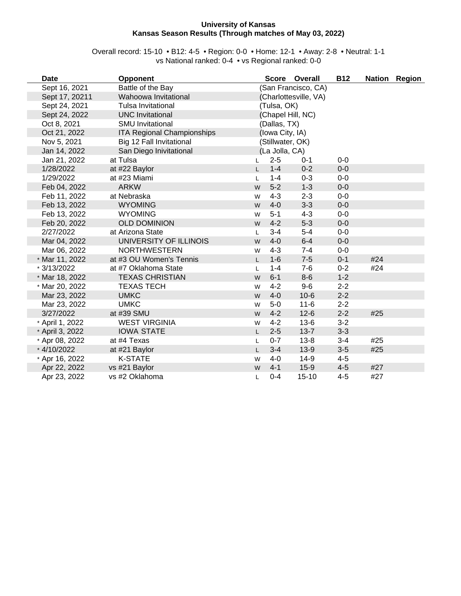#### **University of Kansas Kansas Season Results (Through matches of May 03, 2022)**

#### Overall record: 15-10 • B12: 4-5 • Region: 0-0 • Home: 12-1 • Away: 2-8 • Neutral: 1-1 vs National ranked: 0-4 • vs Regional ranked: 0-0

| Date            | <b>Opponent</b>                   |    |                   | Score Overall         | <b>B12</b> |     | Nation Region |
|-----------------|-----------------------------------|----|-------------------|-----------------------|------------|-----|---------------|
| Sept 16, 2021   | Battle of the Bay                 |    |                   | (San Francisco, CA)   |            |     |               |
| Sept 17, 20211  | Wahoowa Invitational              |    |                   | (Charlottesville, VA) |            |     |               |
| Sept 24, 2021   | Tulsa Invitational                |    | (Tulsa, OK)       |                       |            |     |               |
| Sept 24, 2022   | <b>UNC Invitational</b>           |    | (Chapel Hill, NC) |                       |            |     |               |
| Oct 8, 2021     | <b>SMU</b> Invitational           |    | (Dallas, TX)      |                       |            |     |               |
| Oct 21, 2022    | <b>ITA Regional Championships</b> |    | (Iowa City, IA)   |                       |            |     |               |
| Nov 5, 2021     | Big 12 Fall Invitational          |    | (Stillwater, OK)  |                       |            |     |               |
| Jan 14, 2022    | San Diego Inivitational           |    | (La Jolla, CA)    |                       |            |     |               |
| Jan 21, 2022    | at Tulsa                          |    | $2 - 5$           | $0 - 1$               | $0-0$      |     |               |
| 1/28/2022       | at #22 Baylor                     |    | $1 - 4$           | $0 - 2$               | $0-0$      |     |               |
| 1/29/2022       | at #23 Miami                      | L  | $1 - 4$           | $0 - 3$               | $0-0$      |     |               |
| Feb 04, 2022    | <b>ARKW</b>                       | W  | $5-2$             | $1 - 3$               | $0-0$      |     |               |
| Feb 11, 2022    | at Nebraska                       | W  | $4 - 3$           | $2 - 3$               | $0-0$      |     |               |
| Feb 13, 2022    | <b>WYOMING</b>                    | W  | $4-0$             | $3 - 3$               | $0-0$      |     |               |
| Feb 13, 2022    | <b>WYOMING</b>                    | W  | $5 - 1$           | $4 - 3$               | $0-0$      |     |               |
| Feb 20, 2022    | <b>OLD DOMINION</b>               | W  | $4 - 2$           | $5 - 3$               | $0-0$      |     |               |
| 2/27/2022       | at Arizona State                  | L  | $3 - 4$           | $5-4$                 | $0-0$      |     |               |
| Mar 04, 2022    | UNIVERSITY OF ILLINOIS            | W  | $4-0$             | $6-4$                 | $0-0$      |     |               |
| Mar 06, 2022    | <b>NORTHWESTERN</b>               | W  | $4 - 3$           | $7 - 4$               | $0-0$      |     |               |
| * Mar 11, 2022  | at #3 OU Women's Tennis           |    | $1-6$             | $7-5$                 | $0 - 1$    | #24 |               |
| * 3/13/2022     | at #7 Oklahoma State              | L  | $1 - 4$           | $7-6$                 | $0 - 2$    | #24 |               |
| * Mar 18, 2022  | <b>TEXAS CHRISTIAN</b>            | W  | $6 - 1$           | $8-6$                 | $1 - 2$    |     |               |
| * Mar 20, 2022  | <b>TEXAS TECH</b>                 | W  | $4 - 2$           | $9-6$                 | $2 - 2$    |     |               |
| Mar 23, 2022    | <b>UMKC</b>                       | W  | $4-0$             | $10 - 6$              | $2 - 2$    |     |               |
| Mar 23, 2022    | <b>UMKC</b>                       | W  | $5-0$             | $11 - 6$              | $2 - 2$    |     |               |
| 3/27/2022       | at #39 SMU                        | W  | $4 - 2$           | $12 - 6$              | $2 - 2$    | #25 |               |
| * April 1, 2022 | <b>WEST VIRGINIA</b>              | W  | $4 - 2$           | $13-6$                | $3 - 2$    |     |               |
| * April 3, 2022 | <b>IOWA STATE</b>                 | L. | $2 - 5$           | $13 - 7$              | $3-3$      |     |               |
| * Apr 08, 2022  | at #4 Texas                       |    | $0 - 7$           | $13 - 8$              | $3 - 4$    | #25 |               |
| * 4/10/2022     | at #21 Baylor                     | L. | $3 - 4$           | $13-9$                | $3-5$      | #25 |               |
| * Apr 16, 2022  | <b>K-STATE</b>                    | W  | $4 - 0$           | $14-9$                | $4 - 5$    |     |               |
| Apr 22, 2022    | vs #21 Baylor                     | W  | $4 - 1$           | $15-9$                | $4 - 5$    | #27 |               |
| Apr 23, 2022    | vs #2 Oklahoma                    | Г  | $0 - 4$           | $15 - 10$             | $4 - 5$    | #27 |               |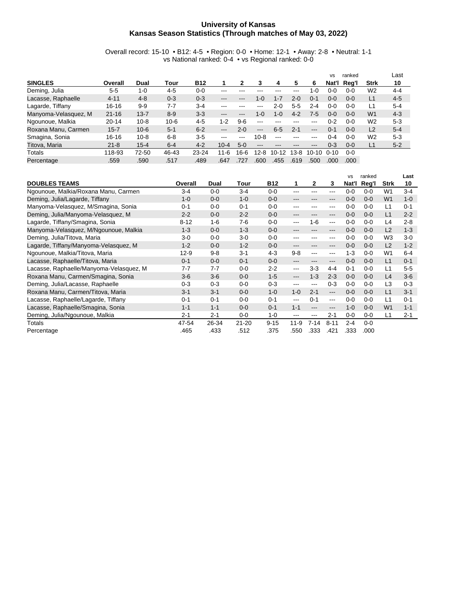#### **University of Kansas Kansas Season Statistics (Through matches of May 03, 2022)**

Overall record: 15-10 • B12: 4-5 • Region: 0-0 • Home: 12-1 • Away: 2-8 • Neutral: 1-1 vs National ranked: 0-4 • vs Regional ranked: 0-0

|                      |           |          |          |            |                   |         |                   |         |         |         | <b>VS</b> | ranked  |                | Last    |
|----------------------|-----------|----------|----------|------------|-------------------|---------|-------------------|---------|---------|---------|-----------|---------|----------------|---------|
| <b>SINGLES</b>       | Overall   | Dual     | Tour     | <b>B12</b> |                   | 2       | з                 | 4       | 5       | 6       | Nat'l     | Rea'l   | <b>Strk</b>    | 10      |
| Deming, Julia        | 5-5       | $1 - 0$  | $4 - 5$  | $0 - 0$    | ---               |         |                   |         | ---     | -0      | 0-0       | $0 - 0$ | W <sub>2</sub> | 4-4     |
| Lacasse, Raphaelle   | $4 - 11$  | $4 - 8$  | $0 - 3$  | $0 - 3$    | ---               | ---     | $1-0$             | $1 - 7$ | $2 - 0$ | $0 - 1$ | $0 - 0$   | $0 - 0$ | L1             | $4 - 5$ |
| Lagarde, Tiffany     | $16 - 16$ | $9 - 9$  | 7-7      | $3-4$      | ---               |         | ---               | $2 - 0$ | $5 - 5$ | $2 - 4$ | $0 - 0$   | $0 - 0$ | L1             | $5 - 4$ |
| Manyoma-Velasquez, M | $21 - 16$ | $13 - 7$ | $8 - 9$  | $3-3$      | $\cdots$          | ---     | $1 - 0$           | $1 - 0$ | $4 - 2$ | 7-5     | $0 - 0$   | $0 - 0$ | W <sub>1</sub> | $4 - 3$ |
| Ngounoue, Malkia     | $20 - 14$ | $10 - 8$ | $10 - 6$ | $4-5$      | $1 - 2$           | $9-6$   | $- - -$           | ---     | ---     | ---     | $0 - 2$   | $0 - 0$ | W <sub>2</sub> | $5-3$   |
| Roxana Manu, Carmen  | $15 - 7$  | $10 - 6$ | $5 - 1$  | $6 - 2$    | $\qquad \qquad -$ | $2 - 0$ | $\qquad \qquad -$ | 6.5     | $2 - 1$ | $---$   | $0 - 1$   | $0 - 0$ | L2             | $5 - 4$ |
| Smagina, Sonia       | $16 - 16$ | $10 - 8$ | $6 - 8$  | $3-5$      | ---               | ---     | $10 - 8$          | ---     | ---     | ---     | 0-4       | $0 - 0$ | W <sub>2</sub> | $5-3$   |
| Titova, Maria        | $21 - 8$  | $15 - 4$ | $6 - 4$  | $4 - 2$    | $10 - 4$          | $5-0$   | ---               |         | ---     | ---     | $0 - 3$   | $0 - 0$ | L1             | $5 - 2$ |
| Totals               | 118-93    | 72-50    | 46-43    | $23 - 24$  | $11 - 6$          | 16-6    | $12 - 8$          | $10-12$ | $13-8$  | 10-10   | $0 - 10$  | $0 - 0$ |                |         |
| Percentage           | .559      | .590     | .517     | .489       | .647              | .727    | .600              | .455    | .619    | .500    | .000      | .000    |                |         |

| <b>DOUBLES TEAMS</b>                    | Overall  | Dual    | Tour      | <b>B12</b> | 1        | $\mathbf{2}$ | 3        | <b>VS</b><br>Nat'l | ranked           | Strk           | Last<br>10 |
|-----------------------------------------|----------|---------|-----------|------------|----------|--------------|----------|--------------------|------------------|----------------|------------|
| Ngounoue, Malkia/Roxana Manu, Carmen    | $3 - 4$  | $0 - 0$ | $3 - 4$   | $0 - 0$    | ---      | ---          | ---      | $0 - 0$            | Reg'l<br>$0 - 0$ | W <sub>1</sub> | $3-4$      |
| Deming, Julia/Lagarde, Tiffany          | $1 - 0$  | $0 - 0$ | $1 - 0$   | $0 - 0$    | ---      | ---          | ---      | $0 - 0$            | $0 - 0$          | W <sub>1</sub> | $1 - 0$    |
| Manyoma-Velasquez, M/Smagina, Sonia     | $0 - 1$  | $0 - 0$ | $0 - 1$   | $0 - 0$    | ---      | ---          | ---      | $0 - 0$            | $0 - 0$          | L <sub>1</sub> | $0 - 1$    |
| Deming, Julia/Manyoma-Velasquez, M      | $2 - 2$  | $0 - 0$ | $2 - 2$   | $0 - 0$    | ---      | ---          | ---      | $0 - 0$            | $0 - 0$          | L1             | $2 - 2$    |
| Lagarde, Tiffany/Smagina, Sonia         | $8 - 12$ | $1 - 6$ | $7-6$     | $0 - 0$    | ---      | 1-6          | $---$    | $0 - 0$            | $0 - 0$          | L4             | $2 - 8$    |
| Manyoma-Velasquez, M/Ngounoue, Malkia   | $1 - 3$  | $0 - 0$ | $1 - 3$   | $0 - 0$    | ---      | ---          | ---      | $0 - 0$            | $0 - 0$          | L2             | $1 - 3$    |
| Deming, Julia/Titova, Maria             | $3-0$    | $0 - 0$ | $3-0$     | $0 - 0$    | ---      | ---          | ---      | $0 - 0$            | $0 - 0$          | W <sub>3</sub> | $3-0$      |
| Lagarde, Tiffany/Manyoma-Velasquez, M   | $1 - 2$  | $0 - 0$ | $1 - 2$   | $0 - 0$    | ---      | ---          | ---      | $0 - 0$            | $0 - 0$          | L2             | $1 - 2$    |
| Ngounoue, Malkia/Titova, Maria          | $12 - 9$ | $9 - 8$ | $3 - 1$   | $4-3$      | $9 - 8$  | ---          | ---      | $1 - 3$            | $0 - 0$          | W1             | $6 - 4$    |
| Lacasse, Raphaelle/Titova, Maria        | $0 - 1$  | $0 - 0$ | $0 - 1$   | $0 - 0$    | ---      | ---          | ---      | $0 - 0$            | $0 - 0$          | L1             | $0 - 1$    |
| Lacasse, Raphaelle/Manyoma-Velasquez, M | $7 - 7$  | $7 - 7$ | $0 - 0$   | $2 - 2$    | ---      | $3-3$        | $4 - 4$  | $0 - 1$            | $0 - 0$          | L <sub>1</sub> | $5-5$      |
| Roxana Manu, Carmen/Smagina, Sonia      | $3-6$    | $3-6$   | $0 - 0$   | $1-5$      | $\cdots$ | $1 - 3$      | $2 - 3$  | $0 - 0$            | $0 - 0$          | L4             | $3-6$      |
| Deming, Julia/Lacasse, Raphaelle        | $0 - 3$  | $0 - 3$ | $0 - 0$   | $0-3$      | ---      | $--$         | $0 - 3$  | $0 - 0$            | $0 - 0$          | L <sub>3</sub> | $0 - 3$    |
| Roxana Manu, Carmen/Titova, Maria       | $3 - 1$  | $3 - 1$ | $0 - 0$   | $1 - 0$    | $1 - 0$  | $2 - 1$      | $---$    | $0 - 0$            | $0 - 0$          | L1             | $3 - 1$    |
| Lacasse, Raphaelle/Lagarde, Tiffany     | $0 - 1$  | $0 - 1$ | $0 - 0$   | $0 - 1$    | ---      | $0 - 1$      | $---$    | $0 - 0$            | $0 - 0$          | L <sub>1</sub> | $0 - 1$    |
| Lacasse, Raphaelle/Smagina, Sonia       | $1 - 1$  | $1 - 1$ | $0 - 0$   | $0 - 1$    | $1 - 1$  | ---          | ---      | $1 - 0$            | $0 - 0$          | W <sub>1</sub> | $1 - 1$    |
| Deming, Julia/Ngounoue, Malkia          | $2 - 1$  | $2 - 1$ | $0 - 0$   | $1 - 0$    | $-- -$   | $--$         | $2 - 1$  | $0 - 0$            | $0 - 0$          | $\overline{1}$ | $2 - 1$    |
| Totals                                  | 47-54    | 26-34   | $21 - 20$ | $9 - 15$   | $11-9$   | 7-14         | $8 - 11$ | $2 - 4$            | $0 - 0$          |                |            |
| Percentage                              | .465     | .433    | .512      | .375       | .550     | .333         | .421     | .333               | .000             |                |            |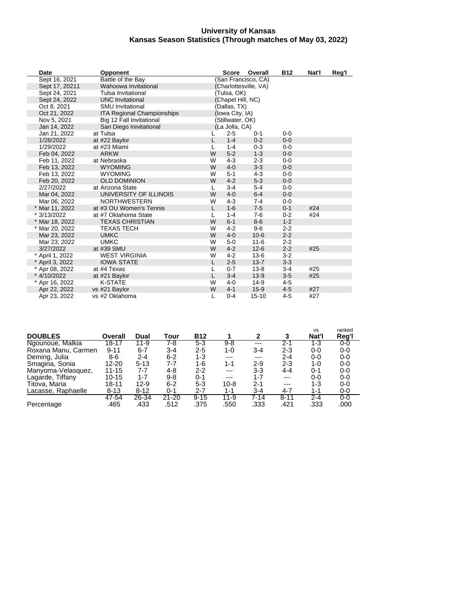#### **University of Kansas Kansas Season Statistics (Through matches of May 03, 2022)**

| Date            | <b>Opponent</b>            |   | <b>Score</b>      | Overall               | <b>B12</b> | Nat'l | Reg'l |
|-----------------|----------------------------|---|-------------------|-----------------------|------------|-------|-------|
| Sept 16, 2021   | Battle of the Bay          |   |                   | (San Francisco, CA)   |            |       |       |
| Sept 17, 20211  | Wahoowa Invitational       |   |                   | (Charlottesville, VA) |            |       |       |
| Sept 24, 2021   | Tulsa Invitational         |   | (Tulsa, OK)       |                       |            |       |       |
| Sept 24, 2022   | <b>UNC Invitational</b>    |   | (Chapel Hill, NC) |                       |            |       |       |
| Oct 8, 2021     | <b>SMU Invitational</b>    |   | (Dallas, TX)      |                       |            |       |       |
| Oct 21, 2022    | ITA Regional Championships |   | (Iowa City, IA)   |                       |            |       |       |
| Nov 5, 2021     | Big 12 Fall Invitational   |   | (Stillwater, OK)  |                       |            |       |       |
| Jan 14, 2022    | San Diego Inivitational    |   | (La Jolla, CA)    |                       |            |       |       |
| Jan 21, 2022    | at Tulsa                   |   | $2 - 5$           | $0 - 1$               | $0 - 0$    |       |       |
| 1/28/2022       | at #22 Baylor              | L | $1 - 4$           | $0 - 2$               | $0 - 0$    |       |       |
| 1/29/2022       | at #23 Miami               | L | $1 - 4$           | $0 - 3$               | $0 - 0$    |       |       |
| Feb 04, 2022    | <b>ARKW</b>                | W | $5-2$             | $1 - 3$               | $0 - 0$    |       |       |
| Feb 11, 2022    | at Nebraska                | W | $4-3$             | $2 - 3$               | $0 - 0$    |       |       |
| Feb 13, 2022    | <b>WYOMING</b>             | W | $4 - 0$           | $3-3$                 | $0 - 0$    |       |       |
| Feb 13, 2022    | <b>WYOMING</b>             | W | $5 - 1$           | $4 - 3$               | $0 - 0$    |       |       |
| Feb 20, 2022    | <b>OLD DOMINION</b>        | W | $4 - 2$           | $5-3$                 | $0 - 0$    |       |       |
| 2/27/2022       | at Arizona State           | L | $3 - 4$           | $5-4$                 | $0 - 0$    |       |       |
| Mar 04, 2022    | UNIVERSITY OF ILLINOIS     | W | $4 - 0$           | $6 - 4$               | $0 - 0$    |       |       |
| Mar 06, 2022    | <b>NORTHWESTERN</b>        | W | $4-3$             | $7-4$                 | $0 - 0$    |       |       |
| * Mar 11, 2022  | at #3 OU Women's Tennis    | L | $1-6$             | $7-5$                 | $0 - 1$    | #24   |       |
| * 3/13/2022     | at #7 Oklahoma State       | L | $1 - 4$           | $7-6$                 | $0 - 2$    | #24   |       |
| * Mar 18, 2022  | <b>TEXAS CHRISTIAN</b>     | W | $6 - 1$           | $8-6$                 | $1 - 2$    |       |       |
| * Mar 20, 2022  | <b>TEXAS TECH</b>          | W | $4 - 2$           | $9 - 6$               | $2 - 2$    |       |       |
| Mar 23, 2022    | <b>UMKC</b>                | W | $4 - 0$           | $10 - 6$              | $2 - 2$    |       |       |
| Mar 23, 2022    | <b>UMKC</b>                | W | $5 - 0$           | $11 - 6$              | $2 - 2$    |       |       |
| 3/27/2022       | at #39 SMU                 | W | $4 - 2$           | $12 - 6$              | $2 - 2$    | #25   |       |
| * April 1, 2022 | <b>WEST VIRGINIA</b>       | W | $4 - 2$           | $13-6$                | $3 - 2$    |       |       |
| * April 3, 2022 | <b>IOWA STATE</b>          | L | $2 - 5$           | $13 - 7$              | $3 - 3$    |       |       |
| * Apr 08, 2022  | at #4 Texas                |   | $0 - 7$           | $13 - 8$              | $3 - 4$    | #25   |       |
| * 4/10/2022     | at #21 Baylor              | L | $3 - 4$           | $13 - 9$              | $3-5$      | #25   |       |
| * Apr 16, 2022  | <b>K-STATE</b>             | W | $4 - 0$           | $14-9$                | $4-5$      |       |       |
| Apr 22, 2022    | vs #21 Baylor              | W | $4 - 1$           | $15-9$                | $4-5$      | #27   |       |
| Apr 23, 2022    | vs #2 Oklahoma             |   | $0 - 4$           | $15 - 10$             | $4 - 5$    | #27   |       |

| <b>DOUBLES</b>      | Overall   | Dual     | Tour      | <b>B12</b> |          |          |          | <b>VS</b><br>Nat'l | ranked<br>Reg'l |
|---------------------|-----------|----------|-----------|------------|----------|----------|----------|--------------------|-----------------|
| Ngounoue, Malkia    | $18 - 17$ | 11-9     | 7-8       | $5 - 3$    | $9 - 8$  | ---      | $2 - 1$  | $1 - 3$            | 0-0             |
| Roxana Manu, Carmen | $9 - 11$  | $6 - 7$  | $3 - 4$   | $2 - 5$    | 1-0      | $3 - 4$  | 2-3      | $0-0$              | $0-0$           |
| Deming, Julia       | 8-6       | 2-4      | $6 - 2$   | 1-3        | $---$    | $---$    | $2 - 4$  | $0-0$              | $0-0$           |
| Smagina, Sonia      | 12-20     | $5 - 13$ | 7-7       | 1-6        | $1 - 1$  | 2-9      | $2 - 3$  | 1-0                | $0-0$           |
| Manyoma-Velasquez,  | $11 - 15$ | 7-7      | 4-8       | $2 - 2$    | $---$    | 3-3      | 4-4      | $0 - 1$            | $0-0$           |
| Lagarde, Tiffany    | $10 - 15$ | $1 - 7$  | 9-8       | $0 - 1$    | $---$    | $1 - 7$  | ---      | $0-0$              | $0-0$           |
| Titova, Maria       | 18-11     | $12-9$   | $6 - 2$   | $5 - 3$    | $10 - 8$ | 2-1      | ---      | 1-3                | $0-0$           |
| Lacasse, Raphaelle  | $8 - 13$  | $8 - 12$ | $0 - 1$   | $2 - 7$    | $1 - 1$  | $3 - 4$  | 4-7      | 1-1                | 0-0             |
|                     | 47-54     | 26-34    | $21 - 20$ | $9 - 15$   | $11 - 9$ | $7 - 14$ | $8 - 11$ | $2 - 4$            | $0-0$           |
| Percentage          | .465      | .433     | .512      | .375       | .550     | .333     | .421     | .333               | .000            |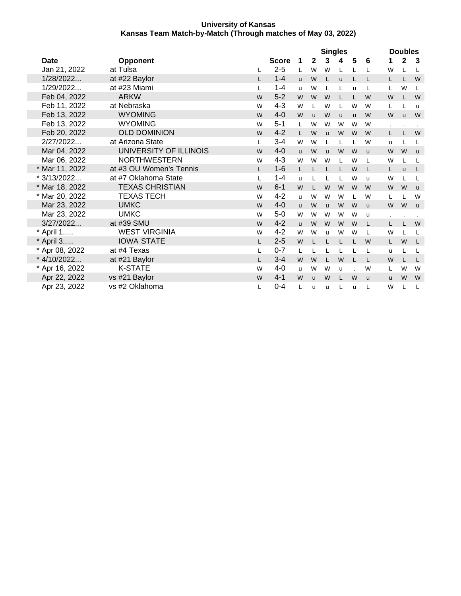|                |                         |              |              | <b>Singles</b> |              |              |              |                         | <b>Doubles</b> |          |             |                |  |
|----------------|-------------------------|--------------|--------------|----------------|--------------|--------------|--------------|-------------------------|----------------|----------|-------------|----------------|--|
| Date           | <b>Opponent</b>         |              | <b>Score</b> | 1              | $\mathbf{2}$ | 3            | 4            | $\overline{\mathbf{5}}$ | 6              | 1        | $\mathbf 2$ | $\mathbf{3}$   |  |
| Jan 21, 2022   | at Tulsa                |              | $2 - 5$      | L              | W            | W            |              |                         |                | W        | L           | L              |  |
| 1/28/2022      | at #22 Baylor           | L.           | $1 - 4$      | <b>u</b>       | W            | L            | $\mathsf{u}$ |                         | L              | L.       |             | W              |  |
| 1/29/2022      | at #23 Miami            | L            | $1 - 4$      | u              | W            | L            |              | u                       | L              | L        | W           | L              |  |
| Feb 04, 2022   | <b>ARKW</b>             | W            | $5 - 2$      | W              | W            | W            | L            |                         | W              | W        |             | W              |  |
| Feb 11, 2022   | at Nebraska             | W            | $4 - 3$      | W              | L            | W            | L            | W                       | W              | L        |             | <b>u</b>       |  |
| Feb 13, 2022   | <b>WYOMING</b>          | W            | $4 - 0$      | W              | <b>u</b>     | W            | <b>u</b>     | <b>u</b>                | W              | W        | <b>u</b>    | W              |  |
| Feb 13, 2022   | <b>WYOMING</b>          | W            | $5 - 1$      | L              | W            | W            | W            | W                       | W              | $\cdot$  |             | $\blacksquare$ |  |
| Feb 20, 2022   | <b>OLD DOMINION</b>     | W            | $4 - 2$      | L              | W            | $\mathbf{u}$ | W            | W                       | W              | L        |             | W              |  |
| 2/27/2022      | at Arizona State        | L            | $3 - 4$      | W              | W            | L            | L            |                         | W              | u        |             | L              |  |
| Mar 04, 2022   | UNIVERSITY OF ILLINOIS  | W            | $4 - 0$      | <b>u</b>       | W            | <b>u</b>     | W            | W                       | $\mathsf{u}$   | W        | W           | $\mathsf{u}$   |  |
| Mar 06, 2022   | <b>NORTHWESTERN</b>     | W            | $4 - 3$      | W              | W            | W            | L            | W                       | L              | W        |             | L              |  |
| * Mar 11, 2022 | at #3 OU Women's Tennis | L.           | $1-6$        | L              |              | L            |              | W                       | L              | L        | <b>u</b>    | L              |  |
| * 3/13/2022    | at #7 Oklahoma State    | L            | $1 - 4$      | u              |              | L            | L            | W                       | u              | W        | L           | L              |  |
| * Mar 18, 2022 | <b>TEXAS CHRISTIAN</b>  | W            | $6 - 1$      | W              | L            | W            | W            | W                       | W              | W        | W           | $\mathsf{u}$   |  |
| * Mar 20, 2022 | <b>TEXAS TECH</b>       | W            | $4 - 2$      | u              | W            | W            | W            | L                       | W              | L        |             | W              |  |
| Mar 23, 2022   | <b>UMKC</b>             | W            | $4-0$        | <b>u</b>       | W            | <b>u</b>     | W            | W                       | $\mathsf{u}$   | W        | W           | $\mathsf{u}$   |  |
| Mar 23, 2022   | <b>UMKC</b>             | W            | $5-0$        | W              | W            | W            | W            | W                       | u              |          |             |                |  |
| 3/27/2022      | at #39 SMU              | W            | $4 - 2$      | $\mathbf{u}$   | W            | W            | W            | W                       | L              | L.       |             | W              |  |
| * April 1      | <b>WEST VIRGINIA</b>    | W            | $4 - 2$      | W              | W            | u            | W            | W                       | L              | W        |             | L              |  |
| * April 3      | <b>IOWA STATE</b>       | L.           | $2 - 5$      | W              |              |              |              |                         | W              | L        | W           | L              |  |
| * Apr 08, 2022 | at #4 Texas             | L            | $0 - 7$      | L              | L            | L            | L            |                         | L              | u        |             | L              |  |
| * 4/10/2022    | at #21 Baylor           | $\mathsf{L}$ | $3 - 4$      | W              | W            | L.           | W            |                         | L              | W        |             | L              |  |
| * Apr 16, 2022 | <b>K-STATE</b>          | W            | $4 - 0$      | u              | W            | W            | u            |                         | W              | Г        | W           | W              |  |
| Apr 22, 2022   | vs #21 Baylor           | W            | $4 - 1$      | W              | <b>u</b>     | W            | L            | W                       | <b>u</b>       | <b>u</b> | W           | W              |  |
| Apr 23, 2022   | vs #2 Oklahoma          | L            | $0 - 4$      | L              | u            | u            | L            | u                       | L              | W        |             | L              |  |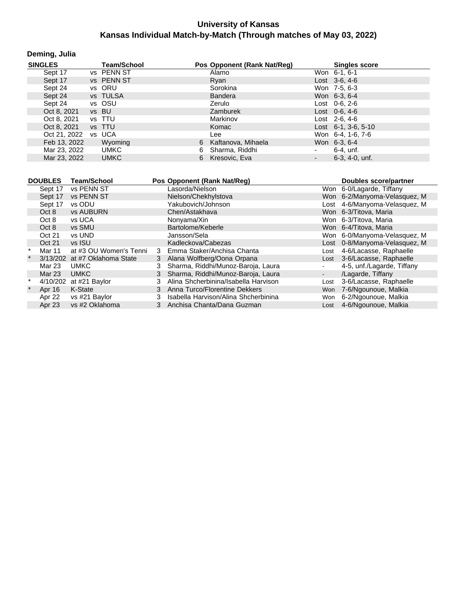#### **Deming, Julia**

| <b>SINGLES</b> | <b>Team/School</b> |    | Pos Opponent (Rank Nat/Reg) |                          | <b>Singles score</b>        |
|----------------|--------------------|----|-----------------------------|--------------------------|-----------------------------|
| Sept 17        | vs PENN ST         |    | Alamo                       |                          | Won 6-1, 6-1                |
| Sept 17        | vs PENN ST         |    | Ryan                        |                          | Lost $3-6, 4-6$             |
| Sept 24        | vs ORU             |    | Sorokina                    |                          | Won 7-5, 6-3                |
| Sept 24        | vs TULSA           |    | <b>Bandera</b>              |                          | Won 6-3, 6-4                |
| Sept 24        | vs OSU             |    | Zerulo                      |                          | Lost 0-6, 2-6               |
| Oct 8, 2021    | vs BU              |    | Zamburek                    |                          | Lost $0-6, 4-6$             |
| Oct 8, 2021    | vs TTU             |    | Markinov                    |                          | Lost $2-6, 4-6$             |
| Oct 8, 2021    | vs TTU             |    | Komac                       |                          | Lost $6-1$ , $3-6$ , $5-10$ |
| Oct 21, 2022   | vs UCA             |    | Lee                         |                          | Won 6-4, 1-6, 7-6           |
| Feb 13, 2022   | Wyoming            |    | 6 Kaftanova, Mihaela        |                          | Won 6-3, 6-4                |
| Mar 23, 2022   | <b>UMKC</b>        | 6  | Sharma, Riddhi              | $\blacksquare$           | 6-4. unf.                   |
| Mar 23, 2022   | <b>UMKC</b>        | 6. | Kresovic. Eva               | $\overline{\phantom{a}}$ | $6-3, 4-0, \text{unf.}$     |

|         | <b>DOUBLES</b> | Team/School                   |   | Pos Opponent (Rank Nat/Req)          |        | Doubles score/partner         |
|---------|----------------|-------------------------------|---|--------------------------------------|--------|-------------------------------|
|         | Sept 17        | vs PENN ST                    |   | Lasorda/Nielson                      |        | Won 6-0/Lagarde, Tiffany      |
|         | Sept 17        | vs PENN ST                    |   | Nielson/Chekhylstova                 |        | Won 6-2/Manyoma-Velasquez, M  |
|         | Sept 17        | vs ODU                        |   | Yakubovich/Johnson                   |        | Lost 4-6/Manyoma-Velasquez, M |
|         | Oct 8          | <b>vs AUBURN</b>              |   | Chen/Astakhava                       |        | Won 6-3/Titova, Maria         |
|         | Oct 8          | vs UCA                        |   | Nonyama/Xin                          |        | Won 6-3/Titova, Maria         |
|         | Oct 8          | vs SMU                        |   | Bartolome/Keberle                    |        | Won 6-4/Titova, Maria         |
|         | Oct 21         | vs UND                        |   | Jansson/Sela                         |        | Won 6-0/Manyoma-Velasquez, M  |
|         | Oct 21         | vs ISU                        |   | Kadleckova/Cabezas                   |        | Lost 0-8/Manyoma-Velasquez, M |
|         | Mar 11         | at #3 OU Women's Tenni        | 3 | Emma Staker/Anchisa Chanta           | Lost   | 4-6/Lacasse, Raphaelle        |
| $\star$ |                | 3/13/202 at #7 Oklahoma State | 3 | Alana Wolfberg/Oona Orpana           | Lost   | 3-6/Lacasse, Raphaelle        |
|         | Mar 23         | <b>UMKC</b>                   | 3 | Sharma, Riddhi/Munoz-Baroja, Laura   |        | 4-5, unf./Lagarde, Tiffany    |
|         | Mar 23         | <b>UMKC</b>                   | 3 | Sharma, Riddhi/Munoz-Baroja, Laura   | $\sim$ | /Lagarde, Tiffany             |
|         |                | 4/10/202 at #21 Baylor        |   | Alina Shcherbinina/Isabella Harvison | Lost   | 3-6/Lacasse, Raphaelle        |
|         | Apr 16         | K-State                       | 3 | Anna Turco/Florentine Dekkers        |        | Won 7-6/Ngounoue, Malkia      |
|         | Apr 22         | vs #21 Baylor                 |   | Isabella Harvison/Alina Shcherbinina | Won    | 6-2/Ngounoue, Malkia          |
|         | Apr 23         | vs #2 Oklahoma                |   | Anchisa Chanta/Dana Guzman           | Lost   | 4-6/Ngounoue, Malkia          |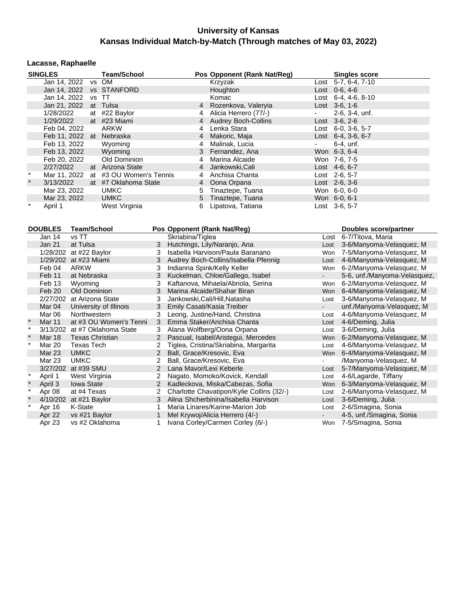#### **Lacasse, Raphaelle**

|         | <b>SINGLES</b>           | <b>Team/School</b>      |                | Pos Opponent (Rank Nat/Reg) |                | <b>Singles score</b>        |
|---------|--------------------------|-------------------------|----------------|-----------------------------|----------------|-----------------------------|
|         | Jan 14, 2022 vs OM       |                         |                | Krzyzak                     |                | Lost $5-7, 6-4, 7-10$       |
|         | Jan 14, 2022 vs STANFORD |                         |                | Houghton                    |                | Lost 0-6, 4-6               |
|         | Jan 14, 2022             | vs TT                   |                | Komac                       |                | Lost $6-4$ , $4-6$ , $8-10$ |
|         | Jan 21, 2022 at Tulsa    |                         |                | 4 Rozenkova, Valeryia       |                | Lost $3-6, 1-6$             |
|         | 1/28/2022                | at #22 Baylor           |                | Alicia Herrero (77/-)       | $\blacksquare$ | 2-6, 3-4, unf.              |
|         | 1/29/2022                | at #23 Miami            |                | 4 Audrey Boch-Collins       |                | $Last \, 3-6, 2-6$          |
|         | Feb 04, 2022             | ARKW                    | 4              | Lenka Stara                 |                | Lost $6-0$ , $3-6$ , $5-7$  |
|         | Feb 11, 2022 at Nebraska |                         | 4              | Makoric, Maja               |                | Lost 6-4, 3-6, 6-7          |
|         | Feb 13, 2022             | Wyoming                 |                | Malinak, Lucia              | $\blacksquare$ | 6-4, unf.                   |
|         | Feb 13, 2022             | Wyoming                 |                | 3 Fernandez, Ana            |                | Won 6-3, 6-4                |
|         | Feb 20, 2022             | Old Dominion            | 4              | Marina Alcaide              |                | Won 7-6, 7-5                |
|         | 2/27/2022                | at Arizona State        | $\overline{4}$ | Jankowski,Cali              |                | Lost 4-6, 6-7               |
|         | Mar 11, 2022             | at #3 OU Women's Tennis | 4              | Anchisa Chanta              |                | Lost 2-6, 5-7               |
| $\star$ | 3/13/2022                | at #7 Oklahoma State    |                | 4 Oona Orpana               |                | $Last 2-6, 3-6$             |
|         | Mar 23, 2022             | <b>UMKC</b>             | 5              | Tinaztepe, Tuana            |                | Won 6-0, 6-0                |
|         | Mar 23, 2022             | <b>UMKC</b>             |                | 5 Tinaztepe, Tuana          |                | Won 6-0, 6-1                |
| $\star$ | April 1                  | West Virginia           | 6              | Lipatova, Tatiana           |                | Lost 3-6, 5-7               |

|         | <b>DOUBLES</b> | Team/School            |                      | Pos Opponent (Rank Nat/Reg)               |                | <b>Doubles score/partner</b> |
|---------|----------------|------------------------|----------------------|-------------------------------------------|----------------|------------------------------|
|         | Jan 14         | vs TT                  |                      | Skriabina/Tiglea                          | Lost           | 6-7/Titova, Maria            |
|         | <b>Jan 21</b>  | at Tulsa               | 3                    | Hutchings, Lily/Naranjo, Ana              | Lost           | 3-6/Manyoma-Velasquez, M     |
|         | 1/28/202       | at #22 Baylor          | 3                    | Isabella Harvison/Paula Baranano          | Won            | 7-5/Manyoma-Velasquez, M     |
|         |                | 1/29/202 at #23 Miami  | 3                    | Audrey Boch-Collins/Isabella Pfennig      | Lost           | 4-6/Manyoma-Velasquez, M     |
|         | Feb 04         | <b>ARKW</b>            | 3                    | Indianna Spink/Kelly Keller               | Won            | 6-2/Manyoma-Velasquez, M     |
|         | Feb 11         | at Nebraska            | 3                    | Kuckelman, Chloe/Gallego, Isabel          | $\blacksquare$ | 5-6, unf./Manyoma-Velasquez, |
|         | Feb 13         | Wyoming                | 3                    | Kaftanova, Mihaela/Abriola, Serina        | Won            | 6-2/Manyoma-Velasquez, M     |
|         | Feb 20         | Old Dominion           | 3                    | Marina Alcaide/Shahar Biran               | <b>Won</b>     | 6-4/Manyoma-Velasquez, M     |
|         | 2/27/202       | at Arizona State       | 3                    | Jankowski, Cali/Hill, Natasha             | Lost           | 3-6/Manyoma-Velasquez, M     |
|         | Mar 04         | University of Illinois | 3                    | Emily Casati/Kasia Treiber                |                | unf./Manyoma-Velasquez, M    |
|         | Mar 06         | Northwestern           | 3                    | Leong, Justine/Hand, Christina            | Lost           | 4-6/Manyoma-Velasquez, M     |
| $\star$ | <b>Mar 11</b>  | at #3 OU Women's Tenni | 3                    | Emma Staker/Anchisa Chanta                | Lost           | 4-6/Deming, Julia            |
| $\star$ | 3/13/202       | at #7 Oklahoma State   | 3                    | Alana Wolfberg/Oona Orpana                | Lost           | 3-6/Deming, Julia            |
|         | Mar 18         | <b>Texas Christian</b> | 2                    | Pascual, Isabel/Aristegui, Mercedes       | Won            | 6-2/Manyoma-Velasquez, M     |
| $\star$ | Mar 20         | <b>Texas Tech</b>      |                      | Tiglea, Cristina/Skriabina, Margarita     | Lost           | 4-6/Manyoma-Velasquez, M     |
|         | <b>Mar 23</b>  | <b>UMKC</b>            | $\overline{2}$       | Ball, Grace/Kresovic, Eva                 | Won            | 6-4/Manyoma-Velasquez, M     |
|         | Mar 23         | <b>UMKC</b>            |                      | Ball, Grace/Kresovic, Eva                 |                | /Manyoma-Velasquez, M        |
|         | 3/27/202       | at #39 SMU             | $\mathbf{2}^{\circ}$ | Lana Mavor/Lexi Keberle                   | Lost           | 5-7/Manyoma-Velasquez, M     |
| $\star$ | April 1        | West Virginia          | 2                    | Nagato, Momoko/Kovick, Kendall            | Lost           | 4-6/Lagarde, Tiffany         |
|         | April 3        | <b>Iowa State</b>      | 2                    | Kadleckova, Miska/Cabezas, Sofia          | Won            | 6-3/Manyoma-Velasquez, M     |
| $\star$ | Apr 08         | at #4 Texas            |                      | Charlotte Chavatipon/Kylie Collins (32/-) | Lost           | 2-6/Manyoma-Velasquez, M     |
|         | 4/10/202       | at #21 Baylor          | 3                    | Alina Shcherbinina/Isabella Harvison      | Lost           | 3-6/Deming, Julia            |
| $\star$ | Apr 16         | K-State                |                      | Maria Linares/Karine-Marion Job           | Lost           | 2-6/Smagina, Sonia           |
|         | Apr 22         | vs #21 Baylor          |                      | Mel Krywoj/Alicia Herrero (4/-)           |                | 4-5, unf./Smagina, Sonia     |
|         | Apr 23         | vs #2 Oklahoma         |                      | Ivana Corley/Carmen Corley (6/-)          | Won            | 7-5/Smagina, Sonia           |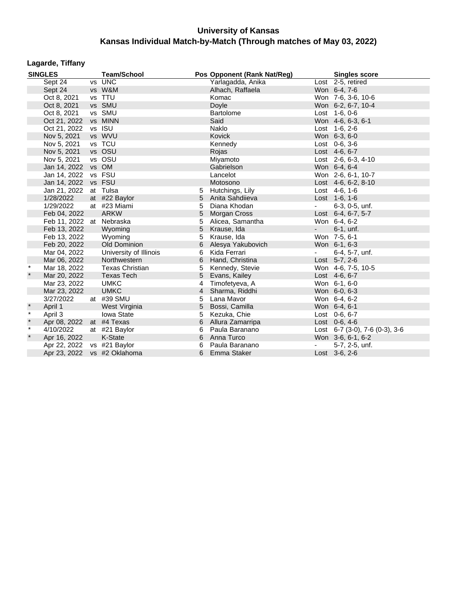## **Lagarde, Tiffany**

|         | <b>SINGLES</b>              | <b>Team/School</b>     |                | Pos Opponent (Rank Nat/Reg) |                          | <b>Singles score</b>           |
|---------|-----------------------------|------------------------|----------------|-----------------------------|--------------------------|--------------------------------|
|         | Sept 24                     | vs UNC                 |                | Yarlagadda, Anika           |                          | Lost 2-5, retired              |
|         | Sept 24                     | vs W&M                 |                | Alhach, Raffaela            |                          | Won 6-4, 7-6                   |
|         | Oct 8, 2021                 | vs TTU                 |                | Komac                       |                          | Won 7-6, 3-6, 10-6             |
|         | Oct 8, 2021                 | vs SMU                 |                | Doyle                       |                          | Won 6-2, 6-7, 10-4             |
|         | Oct 8, 2021                 | vs SMU                 |                | <b>Bartolome</b>            |                          | Lost 1-6, 0-6                  |
|         | Oct 21, 2022                | vs MINN                |                | Said                        |                          | Won 4-6, 6-3, 6-1              |
|         | Oct 21, 2022                | vs ISU                 |                | Naklo                       |                          | Lost 1-6, 2-6                  |
|         | Nov 5, 2021                 | vs WVU                 |                | Kovick                      |                          | Won 6-3, 6-0                   |
|         | Nov 5, 2021                 | vs TCU                 |                | Kennedy                     |                          | Lost 0-6, 3-6                  |
|         | Nov 5, 2021                 | vs OSU                 |                | Rojas                       |                          | Lost 4-6, 6-7                  |
|         | Nov 5, 2021                 | vs OSU                 |                | Miyamoto                    |                          | Lost 2-6, 6-3, 4-10            |
|         | Jan 14, 2022                | vs OM                  |                | Gabrielson                  |                          | Won 6-4, 6-4                   |
|         | Jan 14, 2022                | vs FSU                 |                | Lancelot                    |                          | Won 2-6, 6-1, 10-7             |
|         | Jan 14, 2022                | vs FSU                 |                | Motosono                    |                          | Lost 4-6, 6-2, 8-10            |
|         | Jan 21, 2022                | at Tulsa               | 5              | Hutchings, Lily             |                          | Lost 4-6, 1-6                  |
|         | 1/28/2022                   | at #22 Baylor          | 5              | Anita Sahdiieva             |                          | Lost 1-6, 1-6                  |
|         | 1/29/2022                   | at #23 Miami           | 5              | Diana Khodan                | $\overline{\phantom{a}}$ | 6-3, 0-5, unf.                 |
|         | Feb 04, 2022                | <b>ARKW</b>            | 5              | Morgan Cross                |                          | Lost 6-4, 6-7, 5-7             |
|         | Feb 11, 2022 at Nebraska    |                        | 5              | Alicea, Samantha            |                          | Won 6-4, 6-2                   |
|         | Feb 13, 2022                | Wyoming                | 5              | Krause, Ida                 | $\sim$                   | $6-1$ , unf.                   |
|         | Feb 13, 2022                | Wyoming                | 5              | Krause, Ida                 |                          | Won 7-5, 6-1                   |
|         | Feb 20, 2022                | Old Dominion           | 6              | Alesya Yakubovich           |                          | Won 6-1, 6-3                   |
|         | Mar 04, 2022                | University of Illinois | 6              | Kida Ferrari                |                          | 6-4, 5-7, unf.                 |
|         | Mar 06, 2022                | Northwestern           | 6              | Hand, Christina             |                          | Lost 5-7, 2-6                  |
| $\star$ | Mar 18, 2022                | <b>Texas Christian</b> | 5              | Kennedy, Stevie             |                          | Won 4-6, 7-5, 10-5             |
| $\star$ | Mar 20, 2022                | <b>Texas Tech</b>      | 5              | Evans, Kailey               |                          | Lost 4-6, 6-7                  |
|         | Mar 23, 2022                | <b>UMKC</b>            | 4              | Timofetyeva, A              |                          | Won 6-1, 6-0                   |
|         | Mar 23, 2022                | <b>UMKC</b>            | $\overline{4}$ | Sharma, Riddhi              |                          | Won 6-0, 6-3                   |
|         | 3/27/2022                   | at #39 SMU             | 5              | Lana Mavor                  |                          | Won 6-4, 6-2                   |
|         | April 1                     | West Virginia          | 5              | Bossi, Camilla              |                          | Won 6-4, 6-1                   |
| $\star$ | April 3                     | Iowa State             | 5              | Kezuka, Chie                |                          | Lost 0-6, 6-7                  |
| $\star$ | Apr 08, 2022 at #4 Texas    |                        | 6              | Allura Zamarripa            |                          | Lost 0-6, 4-6                  |
| $\star$ | 4/10/2022                   | at #21 Baylor          | 6              | Paula Baranano              |                          | Lost 6-7 (3-0), 7-6 (0-3), 3-6 |
| $\star$ | Apr 16, 2022                | K-State                | 6              | Anna Turco                  |                          | Won 3-6, 6-1, 6-2              |
|         | Apr 22, 2022 vs #21 Baylor  |                        | 6              | Paula Baranano              |                          | 5-7, 2-5, unf.                 |
|         | Apr 23, 2022 vs #2 Oklahoma |                        | 6              | Emma Staker                 |                          | Lost 3-6, 2-6                  |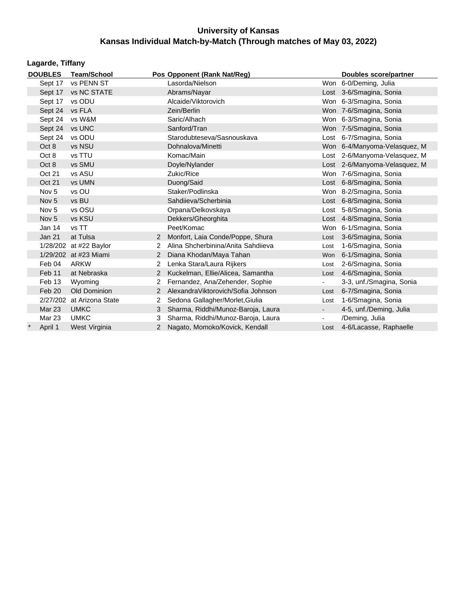| Lagarde, Tiffany                            |                        |                |                                     |                |                               |  |  |  |  |  |
|---------------------------------------------|------------------------|----------------|-------------------------------------|----------------|-------------------------------|--|--|--|--|--|
| <b>DOUBLES</b>                              | <b>Team/School</b>     |                | Pos Opponent (Rank Nat/Reg)         |                | <b>Doubles score/partner</b>  |  |  |  |  |  |
| Sept 17                                     | vs PENN ST             |                | Lasorda/Nielson                     |                | Won 6-0/Deming, Julia         |  |  |  |  |  |
| Sept 17                                     | vs NC STATE            |                | Abrams/Nayar                        |                | Lost 3-6/Smagina, Sonia       |  |  |  |  |  |
| Sept 17                                     | vs ODU                 |                | Alcaide/Viktorovich                 |                | Won 6-3/Smagina, Sonia        |  |  |  |  |  |
| Sept 24                                     | vs FLA                 |                | Zein/Berlin                         |                | Won 7-6/Smagina, Sonia        |  |  |  |  |  |
| Sept 24                                     | vs W&M                 |                | Saric/Alhach                        |                | Won 6-3/Smagina, Sonia        |  |  |  |  |  |
| Sept 24                                     | vs UNC                 |                | Sanford/Tran                        |                | Won 7-5/Smagina, Sonia        |  |  |  |  |  |
| Sept 24                                     | vs ODU                 |                | Starodubteseva/Sasnouskava          |                | Lost 6-7/Smagina, Sonia       |  |  |  |  |  |
| Oct 8                                       | vs NSU                 |                | Dohnalova/Minetti                   |                | Won 6-4/Manyoma-Velasquez, M  |  |  |  |  |  |
| Oct 8                                       | vs TTU                 |                | Komac/Main                          |                | Lost 2-6/Manyoma-Velasquez, M |  |  |  |  |  |
| Oct 8                                       | vs SMU                 |                | Doyle/Nylander                      |                | Lost 2-6/Manyoma-Velasquez, M |  |  |  |  |  |
| Oct 21                                      | vs ASU                 |                | Zukic/Rice                          |                | Won 7-6/Smagina, Sonia        |  |  |  |  |  |
| Oct 21                                      | vs UMN                 |                | Duong/Said                          |                | Lost 6-8/Smagina, Sonia       |  |  |  |  |  |
| Nov <sub>5</sub>                            | vs OU                  |                | Staker/Podlinska                    |                | Won 8-2/Smagina, Sonia        |  |  |  |  |  |
| Nov <sub>5</sub>                            | vs BU                  |                | Sahdiieva/Scherbinia                |                | Lost 6-8/Smagina, Sonia       |  |  |  |  |  |
| Nov <sub>5</sub>                            | vs OSU                 |                | Orpana/Delkovskaya                  |                | Lost 5-8/Smagina, Sonia       |  |  |  |  |  |
| Nov <sub>5</sub>                            | vs KSU                 |                | Dekkers/Gheorghita                  |                | Lost 4-8/Smagina, Sonia       |  |  |  |  |  |
| Jan 14                                      | vs TT                  |                | Peet/Komac                          |                | Won 6-1/Smagina, Sonia        |  |  |  |  |  |
| <b>Jan 21</b>                               | at Tulsa               |                | Monfort, Laia Conde/Poppe, Shura    | Lost           | 3-6/Smagina, Sonia            |  |  |  |  |  |
|                                             | 1/28/202 at #22 Baylor | 2              | Alina Shcherbinina/Anita Sahdijeva  | Lost           | 1-6/Smagina, Sonia            |  |  |  |  |  |
|                                             | 1/29/202 at #23 Miami  | $\overline{2}$ | Diana Khodan/Maya Tahan             | Won            | 6-1/Smagina, Sonia            |  |  |  |  |  |
| Feb 04                                      | <b>ARKW</b>            | 2              | Lenka Stara/Laura Rijkers           | Lost           | 2-6/Smagina, Sonia            |  |  |  |  |  |
| Feb 11                                      | at Nebraska            | 2              | Kuckelman, Ellie/Alicea, Samantha   | Lost           | 4-6/Smagina, Sonia            |  |  |  |  |  |
| Feb 13                                      | Wyoming                | $\overline{2}$ | Fernandez, Ana/Zehender, Sophie     | $\blacksquare$ | 3-3, unf./Smagina, Sonia      |  |  |  |  |  |
| Feb 20                                      | Old Dominion           | $\overline{2}$ | Alexandra Viktorovich/Sofia Johnson | Lost           | 6-7/Smagina, Sonia            |  |  |  |  |  |
| 2/27/202 at Arizona State<br>$\overline{2}$ |                        |                | Sedona Gallagher/Morlet, Giulia     | Lost           | 1-6/Smagina, Sonia            |  |  |  |  |  |
| <b>Mar 23</b>                               | <b>UMKC</b>            | 3              | Sharma, Riddhi/Munoz-Baroja, Laura  | $\blacksquare$ | 4-5, unf./Deming, Julia       |  |  |  |  |  |
| <b>Mar 23</b>                               | <b>UMKC</b>            | 3              | Sharma, Riddhi/Munoz-Baroja, Laura  |                | /Deming, Julia                |  |  |  |  |  |
| April 1                                     | West Virginia          | 2              | Nagato, Momoko/Kovick, Kendall      | Lost           | 4-6/Lacasse, Raphaelle        |  |  |  |  |  |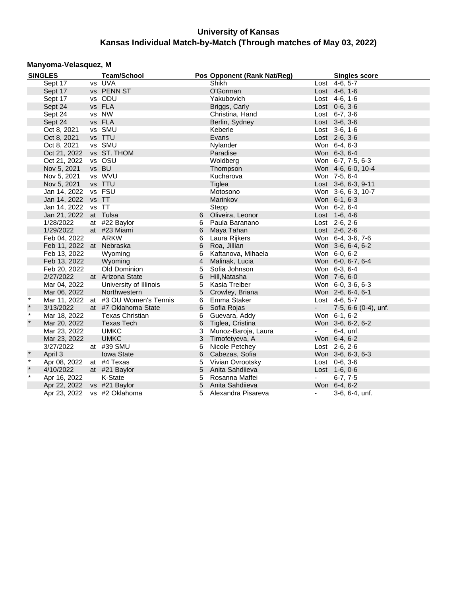## **Manyoma-Velasquez, M**

|         | <b>SINGLES</b>              | <b>Team/School</b>                   |                 | Pos Opponent (Rank Nat/Reg) |                          | <b>Singles score</b> |
|---------|-----------------------------|--------------------------------------|-----------------|-----------------------------|--------------------------|----------------------|
|         | Sept 17                     | vs UVA                               |                 | Shikh                       |                          | $Last 4-6, 5-7$      |
|         | Sept 17                     | vs PENN ST                           |                 | O'Gorman                    |                          | Lost 4-6, 1-6        |
|         | Sept 17                     | vs ODU                               |                 | Yakubovich                  |                          | Lost 4-6, 1-6        |
|         | Sept 24                     | vs FLA                               |                 | Briggs, Carly               |                          | Lost $0-6, 3-6$      |
|         | Sept 24                     | vs NW                                |                 | Christina, Hand             |                          | Lost $6-7, 3-6$      |
|         | Sept 24                     | vs FLA                               |                 | Berlin, Sydney              |                          | Lost 3-6, 3-6        |
|         | Oct 8, 2021                 | vs SMU                               |                 | Keberle                     |                          | Lost $3-6, 1-6$      |
|         | Oct 8, 2021                 | vs TTU                               |                 | Evans                       |                          | Lost 2-6, 3-6        |
|         | Oct 8, 2021                 | vs SMU                               |                 | Nylander                    |                          | Won 6-4, 6-3         |
|         | Oct 21, 2022 vs ST. THOM    |                                      |                 | Paradise                    |                          | Won 6-3, 6-4         |
|         | Oct 21, 2022                | vs OSU                               |                 | Woldberg                    |                          | Won 6-7, 7-5, 6-3    |
|         | Nov 5, 2021                 | vs BU                                |                 | Thompson                    |                          | Won 4-6, 6-0, 10-4   |
|         | Nov 5, 2021                 | vs WVU                               |                 | Kucharova                   |                          | Won 7-5, 6-4         |
|         | Nov 5, 2021                 | vs TTU                               |                 | Tiglea                      |                          | Lost 3-6, 6-3, 9-11  |
|         | Jan 14, 2022                | vs FSU                               |                 | Motosono                    |                          | Won 3-6, 6-3, 10-7   |
|         | Jan 14, 2022 vs TT          |                                      |                 | Marinkov                    |                          | Won 6-1, 6-3         |
|         | Jan 14, 2022 vs TT          |                                      |                 | Stepp                       |                          | Won 6-2, 6-4         |
|         | Jan 21, 2022 at Tulsa       |                                      | 6               | Oliveira, Leonor            |                          | Lost 1-6, 4-6        |
|         | 1/28/2022                   | at #22 Baylor                        | 6               | Paula Baranano              |                          | Lost 2-6, 2-6        |
|         | 1/29/2022                   | at #23 Miami                         | 6               | Maya Tahan                  |                          | Lost 2-6, 2-6        |
|         | Feb 04, 2022                | <b>ARKW</b>                          | 6               | Laura Rijkers               |                          | Won 6-4, 3-6, 7-6    |
|         | Feb 11, 2022 at Nebraska    |                                      | 6               | Roa, Jillian                |                          | Won 3-6, 6-4, 6-2    |
|         | Feb 13, 2022                | Wyoming                              | 6               | Kaftanova, Mihaela          |                          | Won 6-0, 6-2         |
|         | Feb 13, 2022                | Wyoming                              | $\overline{4}$  | Malinak, Lucia              |                          | Won 6-0, 6-7, 6-4    |
|         | Feb 20, 2022                | Old Dominion                         | 5               | Sofia Johnson               |                          | Won 6-3, 6-4         |
|         | 2/27/2022                   | at Arizona State                     | 6               | Hill, Natasha               |                          | Won 7-6, 6-0         |
|         | Mar 04, 2022                | University of Illinois               | 5               | Kasia Treiber               |                          | Won 6-0, 3-6, 6-3    |
|         | Mar 06, 2022                | Northwestern                         | 5 <sup>5</sup>  | Crowley, Briana             |                          | Won 2-6, 6-4, 6-1    |
| $\star$ |                             | Mar 11, 2022 at #3 OU Women's Tennis | 6               | Emma Staker                 |                          | Lost 4-6, 5-7        |
| $\star$ | 3/13/2022                   | at #7 Oklahoma State                 | 6               | Sofia Rojas                 | $\blacksquare$           | 7-5, 6-6 (0-4), unf. |
| $\star$ | Mar 18, 2022                | <b>Texas Christian</b>               | 6               | Guevara, Addy               |                          | Won 6-1, 6-2         |
| $\star$ | Mar 20, 2022                | <b>Texas Tech</b>                    | 6               | Tiglea, Cristina            |                          | Won 3-6, 6-2, 6-2    |
|         | Mar 23, 2022                | <b>UMKC</b>                          | 3               | Munoz-Baroja, Laura         | $\sim$                   | 6-4, unf.            |
|         | Mar 23, 2022                | <b>UMKC</b>                          | 3               | Timofetyeva, A              |                          | Won 6-4, 6-2         |
|         | 3/27/2022                   | at #39 SMU                           | 6               | Nicole Petchey              |                          | Lost 2-6, 2-6        |
| $\star$ | April 3                     | <b>Iowa State</b>                    | 6               | Cabezas, Sofia              |                          | Won 3-6, 6-3, 6-3    |
| $\star$ | Apr 08, 2022                | at #4 Texas                          | 5               | Vivian Ovrootsky            |                          | Lost 0-6, 3-6        |
| $\star$ | 4/10/2022                   | at #21 Baylor                        | $5\phantom{.0}$ | Anita Sahdiieva             |                          | Lost 1-6, 0-6        |
| $\star$ | Apr 16, 2022                | K-State                              | 5               | Rosanna Maffei              | $\overline{\phantom{a}}$ | $6-7, 7-5$           |
|         | Apr 22, 2022 vs #21 Baylor  |                                      | $5\phantom{.0}$ | Anita Sahdiieva             |                          | Won 6-4, 6-2         |
|         | Apr 23, 2022 vs #2 Oklahoma |                                      |                 | 5 Alexandra Pisareva        | $\omega_{\rm{max}}$      | 3-6, 6-4, unf.       |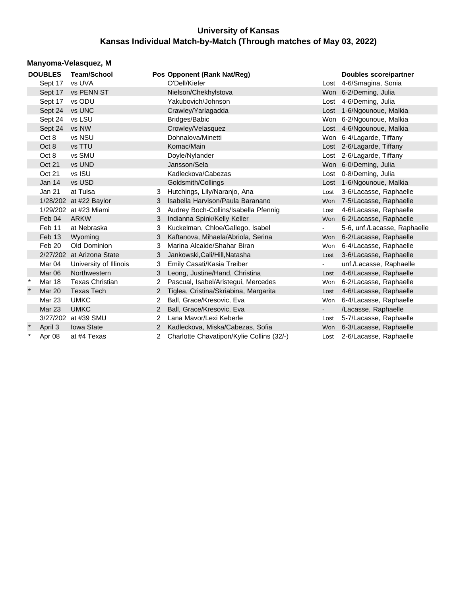### **Manyoma-Velasquez, M**

|         | <b>DOUBLES</b> | <b>Team/School</b>        |                | Pos Opponent (Rank Nat/Reg)               |            | Doubles score/partner        |
|---------|----------------|---------------------------|----------------|-------------------------------------------|------------|------------------------------|
|         | Sept 17        | vs UVA                    |                | O'Dell/Kiefer                             |            | Lost 4-6/Smagina, Sonia      |
|         | Sept 17        | <b>vs PENN ST</b>         |                | Nielson/Chekhylstova                      |            | Won 6-2/Deming, Julia        |
|         | Sept 17        | vs ODU                    |                | Yakubovich/Johnson                        |            | Lost 4-6/Deming, Julia       |
|         | Sept 24        | vs UNC                    |                | Crawley/Yarlagadda                        |            | Lost 1-6/Ngounoue, Malkia    |
|         | Sept 24        | vs LSU                    |                | Bridges/Babic                             |            | Won 6-2/Ngounoue, Malkia     |
|         | Sept 24        | vs NW                     |                | Crowley/Velasquez                         |            | Lost 4-6/Ngounoue, Malkia    |
|         | Oct 8          | vs NSU                    |                | Dohnalova/Minetti                         |            | Won 6-4/Lagarde, Tiffany     |
|         | Oct 8          | vs TTU                    |                | Komac/Main                                |            | Lost 2-6/Lagarde, Tiffany    |
|         | Oct 8          | vs SMU                    |                | Doyle/Nylander                            |            | Lost 2-6/Lagarde, Tiffany    |
|         | Oct 21         | vs UND                    |                | Jansson/Sela                              |            | Won 6-0/Deming, Julia        |
|         | Oct 21         | vs ISU                    |                | Kadleckova/Cabezas                        |            | Lost 0-8/Deming, Julia       |
|         | Jan $14$       | vs USD                    |                | Goldsmith/Collings                        |            | Lost 1-6/Ngounoue, Malkia    |
|         | Jan 21         | at Tulsa                  | 3              | Hutchings, Lily/Naranjo, Ana              | Lost       | 3-6/Lacasse, Raphaelle       |
|         |                | 1/28/202 at #22 Baylor    | 3              | Isabella Harvison/Paula Baranano          | Won        | 7-5/Lacasse, Raphaelle       |
|         |                | 1/29/202 at #23 Miami     | 3              | Audrey Boch-Collins/Isabella Pfennig      | Lost       | 4-6/Lacasse, Raphaelle       |
|         | Feb 04         | ARKW                      | 3              | Indianna Spink/Kelly Keller               | <b>Won</b> | 6-2/Lacasse, Raphaelle       |
|         | Feb 11         | at Nebraska               | 3              | Kuckelman, Chloe/Gallego, Isabel          | $\sim$     | 5-6, unf./Lacasse, Raphaelle |
|         | Feb 13         | Wyoming                   | 3              | Kaftanova, Mihaela/Abriola, Serina        | <b>Won</b> | 6-2/Lacasse, Raphaelle       |
|         | Feb 20         | Old Dominion              | 3              | Marina Alcaide/Shahar Biran               | Won        | 6-4/Lacasse, Raphaelle       |
|         |                | 2/27/202 at Arizona State | 3              | Jankowski, Cali/Hill, Natasha             | Lost       | 3-6/Lacasse, Raphaelle       |
|         | Mar 04         | University of Illinois    | 3              | Emily Casati/Kasia Treiber                | $\sim$     | unf./Lacasse, Raphaelle      |
|         | Mar 06         | Northwestern              | 3              | Leong, Justine/Hand, Christina            | Lost       | 4-6/Lacasse, Raphaelle       |
| $\star$ | <b>Mar 18</b>  | <b>Texas Christian</b>    | 2              | Pascual, Isabel/Aristegui, Mercedes       | Won        | 6-2/Lacasse, Raphaelle       |
|         | <b>Mar 20</b>  | <b>Texas Tech</b>         | 2              | Tiglea, Cristina/Skriabina, Margarita     | Lost       | 4-6/Lacasse, Raphaelle       |
|         | Mar 23         | <b>UMKC</b>               | 2              | Ball, Grace/Kresovic, Eva                 | Won        | 6-4/Lacasse, Raphaelle       |
|         | <b>Mar 23</b>  | <b>UMKC</b>               | $\overline{2}$ | Ball, Grace/Kresovic, Eva                 | $\sim$     | /Lacasse, Raphaelle          |
|         |                | 3/27/202 at #39 SMU       | $\overline{2}$ | Lana Mavor/Lexi Keberle                   | Lost       | 5-7/Lacasse, Raphaelle       |
| $\star$ | April 3        | <b>Iowa State</b>         | 2              | Kadleckova, Miska/Cabezas, Sofia          | Won        | 6-3/Lacasse, Raphaelle       |
| $\star$ | Apr 08         | at #4 Texas               |                | Charlotte Chavatipon/Kylie Collins (32/-) | Lost       | 2-6/Lacasse, Raphaelle       |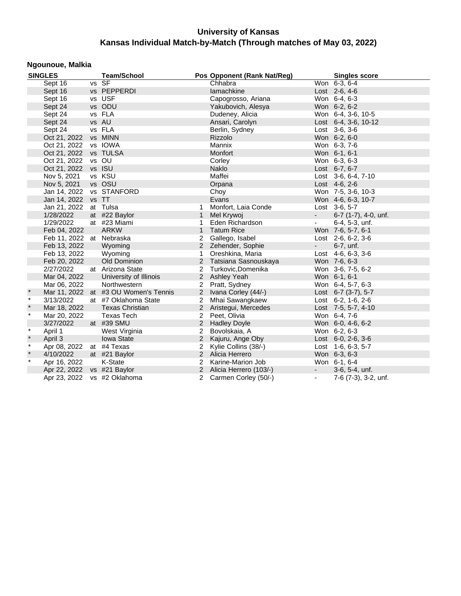## **Ngounoue, Malkia**

|         | <b>SINGLES</b>              | <b>Team/School</b>                   |                | Pos Opponent (Rank Nat/Reg) |                     | <b>Singles score</b>       |
|---------|-----------------------------|--------------------------------------|----------------|-----------------------------|---------------------|----------------------------|
|         | Sept 16                     | vs SF                                |                | Chhabra                     |                     | Won 6-3, 6-4               |
|         | Sept 16                     | vs PEPPERDI                          |                | lamachkine                  |                     | Lost 2-6, 4-6              |
|         | Sept 16                     | vs USF                               |                | Capogrosso, Ariana          |                     | Won 6-4, 6-3               |
|         | Sept 24                     | vs ODU                               |                | Yakubovich, Alesya          |                     | Won 6-2, 6-2               |
|         | Sept 24                     | vs FLA                               |                | Dudeney, Alicia             |                     | Won 6-4, 3-6, 10-5         |
|         | Sept 24                     | vs AU                                |                | Ansari, Carolyn             |                     | Lost 6-4, 3-6, 10-12       |
|         | Sept 24                     | vs FLA                               |                | Berlin, Sydney              |                     | Lost $3-6, 3-6$            |
|         | Oct 21, 2022 vs MINN        |                                      |                | Rizzolo                     |                     | Won 6-2, 6-0               |
|         | Oct 21, 2022 vs IOWA        |                                      |                | Mannix                      |                     | Won 6-3, 7-6               |
|         | Oct 21, 2022 vs TULSA       |                                      |                | Monfort                     |                     | Won 6-1, 6-1               |
|         | Oct 21, 2022                | vs OU                                |                | Corley                      |                     | Won 6-3, 6-3               |
|         | Oct 21, 2022 vs ISU         |                                      |                | <b>Naklo</b>                |                     | Lost 6-7, 6-7              |
|         | Nov 5, 2021                 | vs KSU                               |                | Maffei                      |                     | Lost 3-6, 6-4, 7-10        |
|         | Nov 5, 2021                 | vs OSU                               |                | Orpana                      |                     | Lost $4-6, 2-6$            |
|         | Jan 14, 2022 vs STANFORD    |                                      |                | Choy                        |                     | Won 7-5, 3-6, 10-3         |
|         | Jan 14, 2022 vs TT          |                                      |                | Evans                       |                     | Won 4-6, 6-3, 10-7         |
|         | Jan 21, 2022 at Tulsa       |                                      | 1              | Monfort, Laia Conde         |                     | Lost 3-6, 5-7              |
|         | 1/28/2022                   | at #22 Baylor                        | $\mathbf{1}$   | Mel Krywoj                  | $\sim 100$          | 6-7 (1-7), 4-0, unf.       |
|         | 1/29/2022                   | at #23 Miami                         | 1              | Eden Richardson             | $\sim$              | 6-4, 5-3, unf.             |
|         | Feb 04, 2022                | <b>ARKW</b>                          | $\mathbf{1}$   | <b>Tatum Rice</b>           |                     | Won 7-6, 5-7, 6-1          |
|         | Feb 11, 2022 at Nebraska    |                                      | 2              | Gallego, Isabel             |                     | Lost 2-6, 6-2, 3-6         |
|         | Feb 13, 2022                | Wyoming                              |                | 2 Zehender, Sophie          | <b>All Control</b>  | 6-7, unf.                  |
|         | Feb 13, 2022                | Wyoming                              | $\mathbf{1}$   | Oreshkina, Maria            |                     | Lost $4-6, 6-3, 3-6$       |
|         | Feb 20, 2022                | Old Dominion                         |                | 2 Tatsiana Sasnouskaya      |                     | Won 7-6, 6-3               |
|         | 2/27/2022                   | at Arizona State                     |                | 2 Turkovic, Domenika        |                     | Won 3-6, 7-5, 6-2          |
|         | Mar 04, 2022                | University of Illinois               |                | 2 Ashley Yeah               |                     | Won 6-1, 6-1               |
|         | Mar 06, 2022                | Northwestern                         |                | 2 Pratt, Sydney             |                     | Won 6-4, 5-7, 6-3          |
| $\star$ |                             | Mar 11, 2022 at #3 OU Women's Tennis |                | 2 Ivana Corley (44/-)       |                     | Lost $6-7$ (3-7), 5-7      |
| $\star$ | 3/13/2022                   | at #7 Oklahoma State                 | $\overline{2}$ | Mhai Sawangkaew             |                     | Lost 6-2, 1-6, 2-6         |
| $\star$ | Mar 18, 2022                | <b>Texas Christian</b>               |                | 2 Aristegui, Mercedes       |                     | Lost 7-5, 5-7, 4-10        |
| $\star$ | Mar 20, 2022                | Texas Tech                           |                | 2 Peet, Olivia              |                     | Won 6-4, 7-6               |
|         | 3/27/2022                   | at #39 SMU                           |                | 2 Hadley Doyle              |                     | Won 6-0, 4-6, 6-2          |
| $\star$ | April 1                     | West Virginia                        | $\overline{2}$ | Bovolskaia, A               |                     | Won 6-2, 6-3               |
| $\star$ | April 3                     | Iowa State                           | $2^{\circ}$    | Kajuru, Ange Oby            |                     | Lost $6-0$ , $2-6$ , $3-6$ |
| $\star$ | Apr 08, 2022                | at #4 Texas                          | $\overline{2}$ | Kylie Collins (38/-)        |                     | Lost 1-6, 6-3, 5-7         |
| $\star$ | 4/10/2022                   | at #21 Baylor                        |                | 2 Alicia Herrero            |                     | Won 6-3, 6-3               |
| $\star$ | Apr 16, 2022                | K-State                              |                | 2 Karine-Marion Job         |                     | Won 6-1, 6-4               |
|         | Apr 22, 2022 vs #21 Baylor  |                                      |                | 2 Alicia Herrero (103/-)    | $\omega_{\rm{max}}$ | 3-6, 5-4, unf.             |
|         | Apr 23, 2022 vs #2 Oklahoma |                                      |                | 2 Carmen Corley (50/-)      | $\blacksquare$      | 7-6 (7-3), 3-2, unf.       |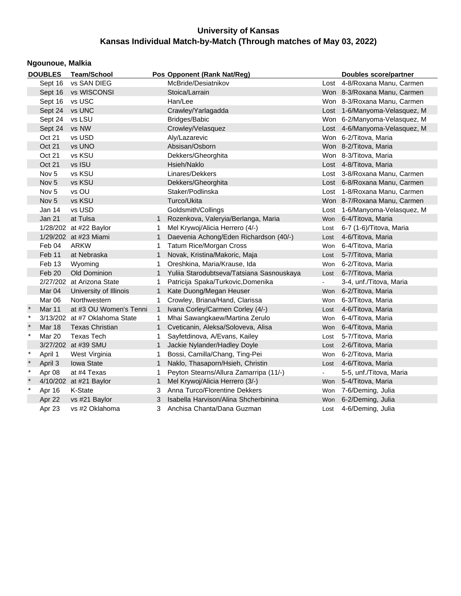|        | Ngounoue, Malkia  |                               |              |                                           |                |                               |  |  |  |  |  |  |
|--------|-------------------|-------------------------------|--------------|-------------------------------------------|----------------|-------------------------------|--|--|--|--|--|--|
|        | <b>DOUBLES</b>    | <b>Team/School</b>            |              | Pos Opponent (Rank Nat/Reg)               |                | <b>Doubles score/partner</b>  |  |  |  |  |  |  |
|        | Sept 16           | vs SAN DIEG                   |              | McBride/Desiatnikov                       |                | Lost 4-8/Roxana Manu, Carmen  |  |  |  |  |  |  |
|        | Sept 16           | vs WISCONSI                   |              | Stoica/Larrain                            |                | Won 8-3/Roxana Manu, Carmen   |  |  |  |  |  |  |
|        | Sept 16           | vs USC                        |              | Han/Lee                                   |                | Won 8-3/Roxana Manu, Carmen   |  |  |  |  |  |  |
|        | Sept 24           | vs UNC                        |              | Crawley/Yarlagadda                        |                | Lost 1-6/Manyoma-Velasquez, M |  |  |  |  |  |  |
|        | Sept 24           | vs LSU                        |              | Bridges/Babic                             |                | Won 6-2/Manyoma-Velasquez, M  |  |  |  |  |  |  |
|        | Sept 24           | vs NW                         |              | Crowley/Velasquez                         |                | Lost 4-6/Manyoma-Velasquez, M |  |  |  |  |  |  |
|        | Oct 21            | vs USD                        |              | Aly/Lazarevic                             |                | Won 6-2/Titova, Maria         |  |  |  |  |  |  |
|        | Oct 21            | vs UNO                        |              | Absisan/Osborn                            |                | Won 8-2/Titova, Maria         |  |  |  |  |  |  |
|        | Oct 21            | vs KSU                        |              | Dekkers/Gheorghita                        |                | Won 8-3/Titova, Maria         |  |  |  |  |  |  |
|        | Oct 21            | vs ISU                        |              | Hsieh/Naklo                               |                | Lost 4-8/Titova, Maria        |  |  |  |  |  |  |
|        | Nov <sub>5</sub>  | vs KSU                        |              | Linares/Dekkers                           |                | Lost 3-8/Roxana Manu, Carmen  |  |  |  |  |  |  |
|        | Nov <sub>5</sub>  | vs KSU                        |              | Dekkers/Gheorghita                        |                | Lost 6-8/Roxana Manu, Carmen  |  |  |  |  |  |  |
|        | Nov <sub>5</sub>  | vs OU                         |              | Staker/Podlinska                          |                | Lost 1-8/Roxana Manu, Carmen  |  |  |  |  |  |  |
|        | Nov <sub>5</sub>  | vs KSU                        |              | Turco/Ukita                               |                | Won 8-7/Roxana Manu, Carmen   |  |  |  |  |  |  |
|        | Jan 14            | vs USD                        |              | Goldsmith/Collings                        |                | Lost 1-6/Manyoma-Velasquez, M |  |  |  |  |  |  |
|        | Jan 21            | at Tulsa                      |              | Rozenkova, Valeryia/Berlanga, Maria       |                | Won 6-4/Titova, Maria         |  |  |  |  |  |  |
|        |                   | 1/28/202 at #22 Baylor        | 1            | Mel Krywoj/Alicia Herrero (4/-)           | Lost           | 6-7 (1-6)/Titova, Maria       |  |  |  |  |  |  |
|        |                   | 1/29/202 at #23 Miami         | $\mathbf{1}$ | Daevenia Achong/Eden Richardson (40/-)    | Lost           | 4-6/Titova, Maria             |  |  |  |  |  |  |
|        | Feb 04            | <b>ARKW</b>                   | 1.           | <b>Tatum Rice/Morgan Cross</b>            | Won            | 6-4/Titova, Maria             |  |  |  |  |  |  |
|        | Feb 11            | at Nebraska                   | $\mathbf{1}$ | Novak, Kristina/Makoric, Maja             | Lost           | 5-7/Titova, Maria             |  |  |  |  |  |  |
|        | Feb 13            | Wyoming                       | 1.           | Oreshkina, Maria/Krause, Ida              | <b>Won</b>     | 6-2/Titova, Maria             |  |  |  |  |  |  |
|        | Feb 20            | Old Dominion                  | $\mathbf{1}$ | Yuliia Starodubtseva/Tatsiana Sasnouskaya | Lost           | 6-7/Titova, Maria             |  |  |  |  |  |  |
|        |                   | 2/27/202 at Arizona State     | 1            | Patricija Spaka/Turkovic, Domenika        | $\blacksquare$ | 3-4, unf./Titova, Maria       |  |  |  |  |  |  |
|        | Mar <sub>04</sub> | University of Illinois        | $\mathbf{1}$ | Kate Duong/Megan Heuser                   |                | Won 6-2/Titova, Maria         |  |  |  |  |  |  |
|        | Mar 06            | Northwestern                  | 1.           | Crowley, Briana/Hand, Clarissa            | Won            | 6-3/Titova, Maria             |  |  |  |  |  |  |
|        | Mar 11            | at #3 OU Women's Tenni        | $\mathbf{1}$ | Ivana Corley/Carmen Corley (4/-)          | Lost           | 4-6/Titova, Maria             |  |  |  |  |  |  |
| $\ast$ |                   | 3/13/202 at #7 Oklahoma State | $\mathbf{1}$ | Mhai Sawangkaew/Martina Zerulo            | Won            | 6-4/Titova, Maria             |  |  |  |  |  |  |
|        | Mar 18            | <b>Texas Christian</b>        | $\mathbf{1}$ | Cveticanin, Aleksa/Soloveva, Alisa        |                | Won 6-4/Titova, Maria         |  |  |  |  |  |  |
| $\ast$ | Mar 20            | <b>Texas Tech</b>             | $\mathbf{1}$ | Sayfetdinova, A/Evans, Kailey             | Lost           | 5-7/Titova, Maria             |  |  |  |  |  |  |
|        |                   | 3/27/202 at #39 SMU           | $\mathbf{1}$ | Jackie Nylander/Hadley Doyle              |                | Lost 2-6/Titova, Maria        |  |  |  |  |  |  |
| $\ast$ | April 1           | West Virginia                 | 1            | Bossi, Camilla/Chang, Ting-Pei            | Won            | 6-2/Titova, Maria             |  |  |  |  |  |  |
| $\ast$ | April 3           | <b>Iowa State</b>             | $\mathbf{1}$ | Naklo, Thasaporn/Hsieh, Christin          |                | Lost 4-6/Titova, Maria        |  |  |  |  |  |  |
| $\ast$ | Apr 08            | at #4 Texas                   | 1            | Peyton Stearns/Allura Zamarripa (11/-)    | $\blacksquare$ | 5-5, unf./Titova, Maria       |  |  |  |  |  |  |
|        |                   | 4/10/202 at #21 Baylor        | $\mathbf 1$  | Mel Krywoj/Alicia Herrero (3/-)           |                | Won 5-4/Titova, Maria         |  |  |  |  |  |  |
| $\ast$ | Apr 16            | K-State                       | 3            | Anna Turco/Florentine Dekkers             | Won            | 7-6/Deming, Julia             |  |  |  |  |  |  |
|        | Apr 22            | vs #21 Baylor                 | 3            | Isabella Harvison/Alina Shcherbinina      | Won            | 6-2/Deming, Julia             |  |  |  |  |  |  |
|        | Apr 23            | vs #2 Oklahoma                | 3            | Anchisa Chanta/Dana Guzman                | Lost           | 4-6/Deming, Julia             |  |  |  |  |  |  |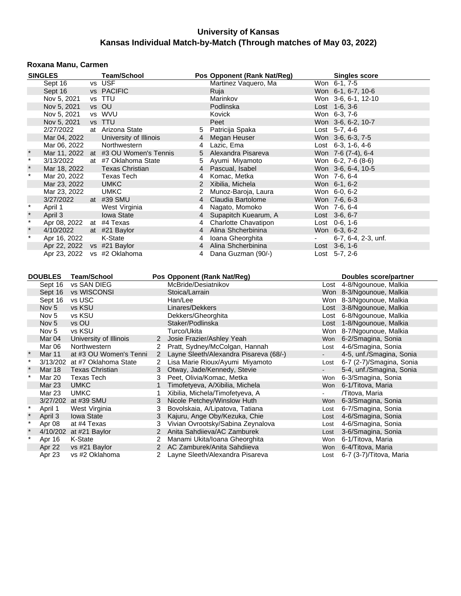#### **Roxana Manu, Carmen**

|         | <b>SINGLES</b>    |                    | <b>Team/School</b>                   |                |                                 |        | Pos Opponent (Rank Nat/Reg)            |                | <b>Singles score</b>          |
|---------|-------------------|--------------------|--------------------------------------|----------------|---------------------------------|--------|----------------------------------------|----------------|-------------------------------|
|         | Sept 16           |                    | vs USF                               |                |                                 |        | Martinez Vaquero, Ma                   | Won 6-1, 7-5   |                               |
|         | Sept 16           |                    | vs PACIFIC                           |                |                                 | Ruja   |                                        |                | Won 6-1, 6-7, 10-6            |
|         | Nov 5, 2021       |                    | vs TTU                               |                |                                 |        | Marinkov                               |                | Won 3-6, 6-1, 12-10           |
|         | Nov 5, 2021       |                    | vs OU                                |                |                                 |        | Podlinska                              | Lost 1-6, 3-6  |                               |
|         | Nov 5, 2021       |                    | vs WVU                               |                |                                 | Kovick |                                        | Won 6-3, 7-6   |                               |
|         | Nov 5, 2021       |                    | vs TTU                               |                |                                 | Peet   |                                        |                | Won 3-6, 6-2, 10-7            |
|         | 2/27/2022         |                    | at Arizona State                     |                | 5                               |        | Patricija Spaka                        | Lost 5-7, 4-6  |                               |
|         | Mar 04, 2022      |                    | University of Illinois               |                | $\overline{4}$                  |        | Megan Heuser                           |                | Won 3-6, 6-3, 7-5             |
|         | Mar 06, 2022      |                    | Northwestern                         |                | 4                               |        | Lazic, Ema                             |                | Lost 6-3, 1-6, 4-6            |
| $\ast$  |                   |                    | Mar 11, 2022 at #3 OU Women's Tennis |                | 5                               |        | Alexandra Pisareva                     |                | Won 7-6 (7-4), 6-4            |
| $\star$ | 3/13/2022         |                    | at #7 Oklahoma State                 |                | 5                               |        | Ayumi Miyamoto                         |                | Won 6-2, 7-6 (8-6)            |
| $\star$ | Mar 18, 2022      |                    | <b>Texas Christian</b>               |                | $\overline{4}$                  |        | Pascual, Isabel                        |                | Won 3-6, 6-4, 10-5            |
| $\star$ | Mar 20, 2022      |                    | Texas Tech                           |                | 4                               |        | Komac, Metka                           | Won 7-6, 6-4   |                               |
|         | Mar 23, 2022      |                    | <b>UMKC</b>                          |                | 2                               |        | Xibilia, Michela                       | Won 6-1, 6-2   |                               |
|         | Mar 23, 2022      |                    | <b>UMKC</b>                          |                | $\overline{2}$                  |        | Munoz-Baroja, Laura                    | Won 6-0, 6-2   |                               |
|         | 3/27/2022         |                    | at #39 SMU                           |                | $\overline{4}$                  |        | Claudia Bartolome                      | Won 7-6, 6-3   |                               |
| $\ast$  | April 1           |                    | West Virginia                        |                | 4                               |        | Nagato, Momoko                         | Won 7-6, 6-4   |                               |
| $\star$ | April 3           |                    | Iowa State                           |                | $\overline{4}$                  |        | Supapitch Kuearum, A                   | Lost 3-6, 6-7  |                               |
| $\star$ |                   |                    | Apr 08, 2022 at #4 Texas             |                | 4                               |        | Charlotte Chavatipon                   | Lost 0-6, 1-6  |                               |
|         | 4/10/2022         |                    | at #21 Baylor                        |                | $\overline{4}$                  |        | Alina Shcherbinina                     | Won 6-3, 6-2   |                               |
| $\star$ | Apr 16, 2022      |                    | K-State                              |                | 4                               |        | Ioana Gheorghita                       |                | 6-7, 6-4, 2-3, unf.           |
|         |                   |                    | Apr 22, 2022 vs #21 Baylor           |                | $\overline{4}$                  |        | Alina Shcherbinina                     | Lost 3-6, 1-6  |                               |
|         |                   |                    | Apr 23, 2022 vs #2 Oklahoma          |                | 4                               |        | Dana Guzman (90/-)                     | Lost 5-7, 2-6  |                               |
|         |                   |                    |                                      |                |                                 |        |                                        |                |                               |
|         |                   |                    |                                      |                |                                 |        |                                        |                |                               |
|         | <b>DOUBLES</b>    | <b>Team/School</b> |                                      |                | Pos Opponent (Rank Nat/Reg)     |        |                                        |                | <b>Doubles score/partner</b>  |
|         | Sept 16           | vs SAN DIEG        |                                      |                | McBride/Desiatnikov             |        |                                        |                | Lost 4-8/Ngounoue, Malkia     |
|         | Sept 16           | vs WISCONSI        |                                      |                | Stoica/Larrain                  |        |                                        |                | Won 8-3/Ngounoue, Malkia      |
|         | Sept 16           | vs USC             |                                      |                | Han/Lee                         |        |                                        |                | Won 8-3/Ngounoue, Malkia      |
|         | Nov <sub>5</sub>  | vs KSU             |                                      |                | Linares/Dekkers                 |        |                                        |                | Lost 3-8/Ngounoue, Malkia     |
|         | Nov <sub>5</sub>  | vs KSU             |                                      |                | Dekkers/Gheorghita              |        |                                        |                | Lost 6-8/Ngounoue, Malkia     |
|         | Nov <sub>5</sub>  | vs OU              |                                      |                | Staker/Podlinska                |        |                                        |                | Lost 1-8/Ngounoue, Malkia     |
|         | Nov <sub>5</sub>  | vs KSU             |                                      |                | Turco/Ukita                     |        |                                        |                | Won 8-7/Ngounoue, Malkia      |
|         | Mar <sub>04</sub> |                    | University of Illinois               | $2^{\circ}$    | Josie Frazier/Ashley Yeah       |        |                                        |                | Won 6-2/Smagina, Sonia        |
|         | Mar 06            | Northwestern       |                                      | $\overline{2}$ |                                 |        | Pratt, Sydney/McColgan, Hannah         |                | Lost 4-6/Smagina, Sonia       |
| $\star$ | Mar 11            |                    | at #3 OU Women's Tenni               | $\overline{2}$ |                                 |        | Layne Sleeth/Alexandra Pisareva (68/-) | $\blacksquare$ | 4-5, unf./Smagina, Sonia      |
| $\star$ |                   |                    | 3/13/202 at #7 Oklahoma State        | $\overline{2}$ |                                 |        | Lisa Marie Rioux/Ayumi Miyamoto        |                | Lost 6-7 (2-7)/Smagina, Sonia |
| $\star$ | Mar 18            |                    | <b>Texas Christian</b>               | 3              | Otway, Jade/Kennedy, Stevie     |        |                                        | $\sim$         | 5-4, unf./Smagina, Sonia      |
| $\star$ | <b>Mar 20</b>     | <b>Texas Tech</b>  |                                      | 3              | Peet, Olivia/Komac, Metka       |        |                                        |                | Won 6-3/Smagina, Sonia        |
|         | <b>Mar 23</b>     | <b>UMKC</b>        |                                      | $\mathbf{1}$   | Timofetyeva, A/Xibilia, Michela |        |                                        |                | Won 6-1/Titova, Maria         |

Mar 23 UMKC 1 Xibilia, Michela/Timofetyeva, A 7Titova, Maria<br>1 3/27/202 at #39 SMU 3 Nicole Petchey/Winslow Huth 1999 Won 6-3/Smagina, Sonia

April 1 West Virginia 23 Bovolskaia, A/Lipatova, Tatiana 2008 Lost 6-7/Smagina, Sonia<br>
1 April 3 Iowa State 23 Kajuru, Ange Oby/Kezuka, Chie 2008 Lost 4-6/Smagina, Sonia April 3 Iowa State 3 Kajuru, Ange Oby/Kezuka, Chie Lost 4-6/Smagina, Sonia<br>
Apr 08 at #4 Texas 3 Vivian Ovrootsky/Sabina Zeynalova Lost 4-6/Smagina, Sonia Apr 08 at #4 Texas 3 Vivian Ovrootsky/Sabina Zeynalova Lost 4-6/Smagina, Sonia<br>4/10/202 at #21 Baylor 2 Anita Sahdiieva/AC Zamburek Lost 3-6/Smagina, Sonia \* 4/10/202 at #21 Baylor 2 Anita Sahdiieva/AC Zamburek Lost 3-6/Smagina, Sonia Apr 16 K-State 2 2 Manami Ukita/Ioana Gheorghita 2 Won 6-1/Titova, Maria<br>12 Apr 22 vs #21 Baylor 2 AC Zamburek/Anita Sahdiieva 2 Won 6-4/Titova, Maria

Apr 23 vs #2 Oklahoma 2 Layne Sleeth/Alexandra Pisareva

at #39 SMU 3 Nicole Petchey/Winslow Huth Won 6-3/Smagina, Sonia<br>
West Virginia 3 Bovolskaia, A/Lipatova, Tatiana Lost 6-7/Smagina, Sonia

Apr 22 vs #21 Baylor 2 AC Zamburek/Anita Sahdiieva Won 6-4/Titova, Maria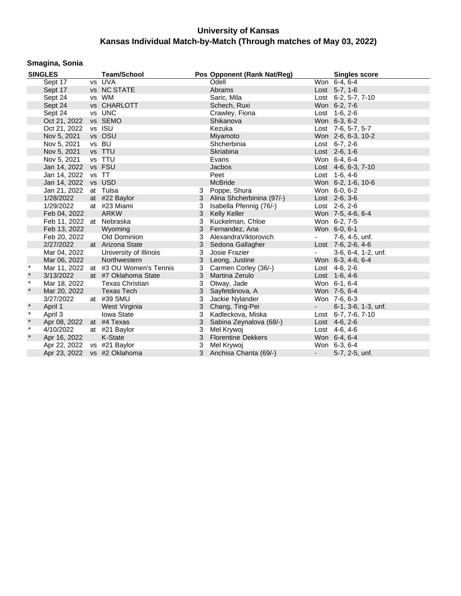## **Smagina, Sonia**

|              | <b>SINGLES</b>              | <b>Team/School</b>                   |   | Pos Opponent (Rank Nat/Reg) |                             | <b>Singles score</b> |
|--------------|-----------------------------|--------------------------------------|---|-----------------------------|-----------------------------|----------------------|
|              | Sept 17                     | vs UVA                               |   | Odell                       |                             | Won 6-4, 6-4         |
|              | Sept 17                     | vs NC STATE                          |   | Abrams                      |                             | Lost 5-7, 1-6        |
|              | Sept 24                     | vs WM                                |   | Saric, Mila                 |                             | Lost 6-2, 5-7, 7-10  |
|              | Sept 24                     | vs CHARLOTT                          |   | Schech, Ruxi                |                             | Won 6-2, 7-6         |
|              | Sept 24                     | vs UNC                               |   | Crawley, Fiona              |                             | Lost 1-6, 2-6        |
|              | Oct 21, 2022                | vs SEMO                              |   | Shikanova                   |                             | Won 6-3, 6-2         |
|              | Oct 21, 2022                | vs ISU                               |   | Kezuka                      |                             | Lost 7-6, 5-7, 5-7   |
|              | Nov 5, 2021                 | vs OSU                               |   | Miyamoto                    |                             | Won 2-6, 6-3, 10-2   |
|              | Nov 5, 2021                 | vs BU                                |   | Shcherbinia                 |                             | Lost $6-7, 2-6$      |
|              | Nov 5, 2021                 | vs TTU                               |   | Skriabina                   |                             | Lost 2-6, 1-6        |
|              | Nov 5, 2021                 | vs TTU                               |   | Evans                       |                             | Won 6-4, 6-4         |
|              | Jan 14, 2022                | vs FSU                               |   | Jacbos                      |                             | Lost 4-6, 6-3, 7-10  |
|              | Jan 14, 2022                | vs TT                                |   | Peet                        |                             | Lost 1-6, 4-6        |
|              | Jan 14, 2022 vs USD         |                                      |   | <b>McBride</b>              |                             | Won 6-2, 1-6, 10-6   |
|              | Jan 21, 2022                | at Tulsa                             | 3 | Poppe, Shura                |                             | Won 6-0, 6-2         |
|              | 1/28/2022                   | at #22 Baylor                        | 3 | Alina Shcherbinina (97/-)   |                             | Lost 2-6, 3-6        |
|              | 1/29/2022                   | at #23 Miami                         | 3 | Isabella Pfennig (76/-)     |                             | Lost 2-6, 2-6        |
|              | Feb 04, 2022                | <b>ARKW</b>                          | 3 | Kelly Keller                |                             | Won 7-5, 4-6, 6-4    |
|              | Feb 11, 2022 at Nebraska    |                                      | 3 | Kuckelman, Chloe            |                             | Won 6-2, 7-5         |
|              | Feb 13, 2022                | Wyoming                              | 3 | Fernandez, Ana              |                             | Won 6-0, 6-1         |
|              | Feb 20, 2022                | Old Dominion                         | 3 | AlexandraViktorovich        | $\sim 100$                  | 7-6, 4-5, unf.       |
|              | 2/27/2022                   | at Arizona State                     | 3 | Sedona Gallagher            |                             | Lost 7-6, 2-6, 4-6   |
|              | Mar 04, 2022                | University of Illinois               | 3 | Josie Frazier               | $\sim$                      | 3-6, 6-4, 1-2, unf.  |
|              | Mar 06, 2022                | Northwestern                         | 3 | Leong, Justine              |                             | Won 6-3, 4-6, 6-4    |
| $\star$      |                             | Mar 11, 2022 at #3 OU Women's Tennis | 3 | Carmen Corley (36/-)        |                             | Lost 4-6, 2-6        |
| $\star$      | 3/13/2022                   | at #7 Oklahoma State                 |   | 3 Martina Zerulo            |                             | Lost 1-6, 4-6        |
| $\star$      | Mar 18, 2022                | <b>Texas Christian</b>               | 3 | Otway, Jade                 |                             | Won 6-1, 6-4         |
| $\star$      | Mar 20, 2022                | <b>Texas Tech</b>                    | 3 | Sayfetdinova, A             |                             | Won 7-5, 6-4         |
|              | 3/27/2022                   | at #39 SMU                           | 3 | Jackie Nylander             |                             | Won 7-6, 6-3         |
| $\star$      | April 1                     | West Virginia                        | 3 | Chang, Ting-Pei             | $\mathbf{z} = \mathbf{z}$ . | 6-1, 3-6, 1-3, unf.  |
| $\star$      | April 3                     | Iowa State                           | 3 | Kadleckova, Miska           |                             | Lost 6-7, 7-6, 7-10  |
| $\pmb{\ast}$ | Apr 08, 2022 at #4 Texas    |                                      | 3 | Sabina Zeynalova (68/-)     |                             | Lost 4-6, 2-6        |
| $\star$      | 4/10/2022                   | at #21 Baylor                        | 3 | Mel Krywoj                  |                             | Lost 4-6, 4-6        |
| $\star$      | Apr 16, 2022                | K-State                              | 3 | <b>Florentine Dekkers</b>   |                             | Won 6-4, 6-4         |
|              | Apr 22, 2022 vs #21 Baylor  |                                      | 3 | Mel Krywoj                  |                             | Won 6-3, 6-4         |
|              | Apr 23, 2022 vs #2 Oklahoma |                                      |   | 3 Anchisa Chanta (69/-)     | $\sim$                      | 5-7, 2-5, unf.       |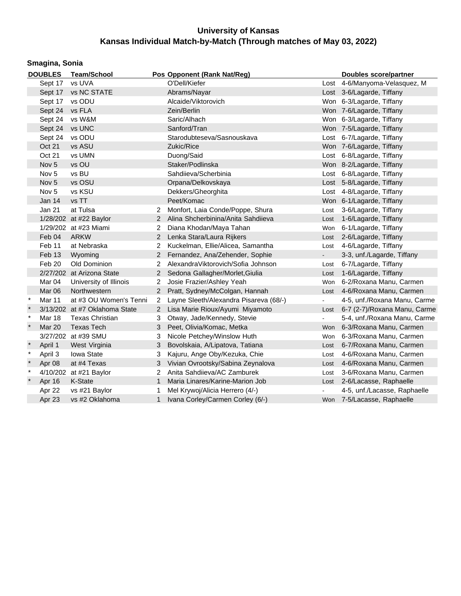|         | Smagina, Sonia   |                               |                      |                                        |                |                                   |  |  |  |  |  |  |
|---------|------------------|-------------------------------|----------------------|----------------------------------------|----------------|-----------------------------------|--|--|--|--|--|--|
|         | <b>DOUBLES</b>   | <b>Team/School</b>            |                      | Pos Opponent (Rank Nat/Reg)            |                | Doubles score/partner             |  |  |  |  |  |  |
|         | Sept 17          | vs UVA                        |                      | O'Dell/Kiefer                          |                | Lost 4-6/Manyoma-Velasquez, M     |  |  |  |  |  |  |
|         | Sept 17          | vs NC STATE                   |                      | Abrams/Nayar                           |                | Lost 3-6/Lagarde, Tiffany         |  |  |  |  |  |  |
|         | Sept 17          | vs ODU                        |                      | Alcaide/Viktorovich                    |                | Won 6-3/Lagarde, Tiffany          |  |  |  |  |  |  |
|         | Sept 24          | vs FLA                        |                      | Zein/Berlin                            |                | Won 7-6/Lagarde, Tiffany          |  |  |  |  |  |  |
|         | Sept 24          | vs W&M                        |                      | Saric/Alhach                           |                | Won 6-3/Lagarde, Tiffany          |  |  |  |  |  |  |
|         | Sept 24          | vs UNC                        |                      | Sanford/Tran                           |                | Won 7-5/Lagarde, Tiffany          |  |  |  |  |  |  |
|         | Sept 24          | vs ODU                        |                      | Starodubteseva/Sasnouskava             |                | Lost 6-7/Lagarde, Tiffany         |  |  |  |  |  |  |
|         | <b>Oct 21</b>    | vs ASU                        |                      | Zukic/Rice                             |                | Won 7-6/Lagarde, Tiffany          |  |  |  |  |  |  |
|         | Oct 21           | vs UMN                        |                      | Duong/Said                             |                | Lost 6-8/Lagarde, Tiffany         |  |  |  |  |  |  |
|         | Nov <sub>5</sub> | vs OU                         |                      | Staker/Podlinska                       |                | Won 8-2/Lagarde, Tiffany          |  |  |  |  |  |  |
|         | Nov <sub>5</sub> | vs BU                         |                      | Sahdiieva/Scherbinia                   |                | Lost 6-8/Lagarde, Tiffany         |  |  |  |  |  |  |
|         | Nov <sub>5</sub> | vs OSU                        |                      | Orpana/Delkovskaya                     |                | Lost 5-8/Lagarde, Tiffany         |  |  |  |  |  |  |
|         | Nov <sub>5</sub> | vs KSU                        |                      | Dekkers/Gheorghita                     |                | Lost 4-8/Lagarde, Tiffany         |  |  |  |  |  |  |
|         | Jan $14$         | vs TT                         |                      | Peet/Komac                             |                | Won 6-1/Lagarde, Tiffany          |  |  |  |  |  |  |
|         | Jan 21           | at Tulsa                      | 2                    | Monfort, Laia Conde/Poppe, Shura       | Lost           | 3-6/Lagarde, Tiffany              |  |  |  |  |  |  |
|         |                  | 1/28/202 at #22 Baylor        |                      | 2 Alina Shcherbinina/Anita Sahdiieva   | Lost           | 1-6/Lagarde, Tiffany              |  |  |  |  |  |  |
|         |                  | 1/29/202 at #23 Miami         | $\mathbf{2}^{\circ}$ | Diana Khodan/Maya Tahan                | Won            | 6-1/Lagarde, Tiffany              |  |  |  |  |  |  |
|         | Feb 04           | <b>ARKW</b>                   | $\mathbf{2}$         | Lenka Stara/Laura Rijkers              |                | Lost 2-6/Lagarde, Tiffany         |  |  |  |  |  |  |
|         | Feb 11           | at Nebraska                   | 2                    | Kuckelman, Ellie/Alicea, Samantha      | Lost           | 4-6/Lagarde, Tiffany              |  |  |  |  |  |  |
|         | Feb 13           | Wyoming                       | $\overline{2}$       | Fernandez, Ana/Zehender, Sophie        | $\blacksquare$ | 3-3, unf./Lagarde, Tiffany        |  |  |  |  |  |  |
|         | Feb 20           | Old Dominion                  | 2                    | AlexandraViktorovich/Sofia Johnson     | Lost           | 6-7/Lagarde, Tiffany              |  |  |  |  |  |  |
|         |                  | 2/27/202 at Arizona State     | $\mathbf{2}$         | Sedona Gallagher/Morlet, Giulia        | Lost           | 1-6/Lagarde, Tiffany              |  |  |  |  |  |  |
|         | Mar 04           | University of Illinois        | $\overline{2}$       | Josie Frazier/Ashley Yeah              | Won            | 6-2/Roxana Manu, Carmen           |  |  |  |  |  |  |
|         | Mar 06           | Northwestern                  | $\mathbf{2}$         | Pratt, Sydney/McColgan, Hannah         |                | Lost 4-6/Roxana Manu, Carmen      |  |  |  |  |  |  |
| $\star$ | Mar 11           | at #3 OU Women's Tenni        | 2                    | Layne Sleeth/Alexandra Pisareva (68/-) | $\blacksquare$ | 4-5, unf./Roxana Manu, Carme      |  |  |  |  |  |  |
| $\ast$  |                  | 3/13/202 at #7 Oklahoma State | $\mathbf{2}^{\circ}$ | Lisa Marie Rioux/Ayumi Miyamoto        |                | Lost 6-7 (2-7)/Roxana Manu, Carme |  |  |  |  |  |  |
| $\ast$  | <b>Mar 18</b>    | <b>Texas Christian</b>        | 3                    | Otway, Jade/Kennedy, Stevie            | $\blacksquare$ | 5-4, unf./Roxana Manu, Carme      |  |  |  |  |  |  |
| $\ast$  | Mar 20           | <b>Texas Tech</b>             | 3                    | Peet, Olivia/Komac, Metka              | Won            | 6-3/Roxana Manu, Carmen           |  |  |  |  |  |  |
|         |                  | 3/27/202 at #39 SMU           | 3                    | Nicole Petchey/Winslow Huth            | Won            | 6-3/Roxana Manu, Carmen           |  |  |  |  |  |  |
|         | April 1          | West Virginia                 | 3                    | Bovolskaia, A/Lipatova, Tatiana        | Lost           | 6-7/Roxana Manu, Carmen           |  |  |  |  |  |  |
| $\ast$  | April 3          | Iowa State                    | 3                    | Kajuru, Ange Oby/Kezuka, Chie          | Lost           | 4-6/Roxana Manu, Carmen           |  |  |  |  |  |  |
|         | Apr 08           | at #4 Texas                   | 3                    | Vivian Ovrootsky/Sabina Zeynalova      | Lost           | 4-6/Roxana Manu, Carmen           |  |  |  |  |  |  |
| $\ast$  |                  | 4/10/202 at #21 Baylor        | 2                    | Anita Sahdijeva/AC Zamburek            | Lost           | 3-6/Roxana Manu, Carmen           |  |  |  |  |  |  |
|         | Apr 16           | K-State                       | $\mathbf{1}$         | Maria Linares/Karine-Marion Job        | Lost           | 2-6/Lacasse, Raphaelle            |  |  |  |  |  |  |
|         | Apr 22           | vs #21 Baylor                 | 1                    | Mel Krywoj/Alicia Herrero (4/-)        |                | 4-5, unf./Lacasse, Raphaelle      |  |  |  |  |  |  |
|         | Apr 23           | vs #2 Oklahoma                | $\mathbf{1}$         | Ivana Corley/Carmen Corley (6/-)       |                | Won 7-5/Lacasse, Raphaelle        |  |  |  |  |  |  |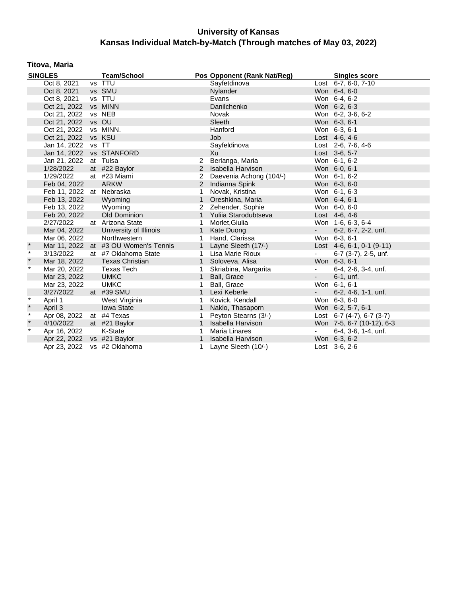### **Titova, Maria**

|         | <b>SINGLES</b>              | <b>Team/School</b>                   |                | Pos Opponent (Rank Nat/Reg) |                          | <b>Singles score</b>      |
|---------|-----------------------------|--------------------------------------|----------------|-----------------------------|--------------------------|---------------------------|
|         | Oct 8, 2021                 | vs TTU                               |                | Sayfetdinova                |                          | Lost 6-7, 6-0, 7-10       |
|         | Oct 8, 2021                 | vs SMU                               |                | Nylander                    |                          | Won 6-4, 6-0              |
|         | Oct 8, 2021                 | vs TTU                               |                | Evans                       |                          | Won 6-4, 6-2              |
|         | Oct 21, 2022                | vs MINN                              |                | Danilchenko                 |                          | Won 6-2, 6-3              |
|         | Oct 21, 2022                | vs NEB                               |                | Novak                       |                          | Won 6-2, 3-6, 6-2         |
|         | Oct 21, 2022 vs OU          |                                      |                | Sleeth                      |                          | Won 6-3, 6-1              |
|         | Oct 21, 2022 vs MINN.       |                                      |                | Hanford                     |                          | Won 6-3, 6-1              |
|         | Oct 21, 2022 vs KSU         |                                      |                | Job                         |                          | Lost 4-6, 4-6             |
|         | Jan 14, 2022                | vs TT                                |                | Sayfeldinova                |                          | Lost 2-6, 7-6, 4-6        |
|         | Jan 14, 2022                | vs STANFORD                          |                | Xu                          |                          | Lost 3-6, 5-7             |
|         | Jan 21, 2022                | at Tulsa                             | 2              | Berlanga, Maria             |                          | Won 6-1, 6-2              |
|         | 1/28/2022                   | at #22 Baylor                        | $\overline{2}$ | Isabella Harvison           |                          | Won 6-0, 6-1              |
|         | 1/29/2022                   | at #23 Miami                         | 2              | Daevenia Achong (104/-)     |                          | Won 6-1, 6-2              |
|         | Feb 04, 2022                | <b>ARKW</b>                          | 2              | Indianna Spink              |                          | Won 6-3, 6-0              |
|         | Feb 11, 2022 at Nebraska    |                                      | 1              | Novak, Kristina             |                          | Won 6-1, 6-3              |
|         | Feb 13, 2022                | Wyoming                              | $\mathbf{1}$   | Oreshkina, Maria            |                          | Won 6-4, 6-1              |
|         | Feb 13, 2022                | Wyoming                              | 2              | Zehender, Sophie            |                          | Won 6-0, 6-0              |
|         | Feb 20, 2022                | Old Dominion                         | $\mathbf{1}$   | Yuliia Starodubtseva        |                          | Lost 4-6, 4-6             |
|         | 2/27/2022                   | at Arizona State                     | 1              | Morlet, Giulia              |                          | Won 1-6, 6-3, 6-4         |
|         | Mar 04, 2022                | University of Illinois               | $\mathbf{1}$   | Kate Duong                  | $\omega_{\rm{max}}$      | 6-2, 6-7, 2-2, unf.       |
|         | Mar 06, 2022                | Northwestern                         | 1              | Hand, Clarissa              |                          | Won 6-3, 6-1              |
| $\star$ |                             | Mar 11, 2022 at #3 OU Women's Tennis | $\mathbf{1}$   | Layne Sleeth (17/-)         |                          | Lost 4-6, 6-1, 0-1 (9-11) |
| $\ast$  | 3/13/2022                   | at #7 Oklahoma State                 | $\mathbf{1}$   | Lisa Marie Rioux            |                          | 6-7 (3-7), 2-5, unf.      |
| $\star$ | Mar 18, 2022                | <b>Texas Christian</b>               | $\mathbf{1}$   | Soloveva, Alisa             |                          | Won 6-3, 6-1              |
| $\star$ | Mar 20, 2022                | <b>Texas Tech</b>                    | 1              | Skriabina, Margarita        | $\overline{\phantom{a}}$ | 6-4, 2-6, 3-4, unf.       |
|         | Mar 23, 2022                | <b>UMKC</b>                          |                | Ball, Grace                 | $\frac{1}{2}$            | $6-1$ , unf.              |
|         | Mar 23, 2022                | <b>UMKC</b>                          |                | Ball, Grace                 |                          | Won 6-1, 6-1              |
|         | 3/27/2022                   | at #39 SMU                           |                | Lexi Keberle                | $\blacksquare$           | 6-2, 4-6, 1-1, unf.       |
| $\ast$  | April 1                     | West Virginia                        | 1              | Kovick, Kendall             |                          | Won 6-3, 6-0              |
| $\star$ | April 3                     | <b>Iowa State</b>                    | $\mathbf{1}$   | Naklo, Thasaporn            |                          | Won 6-2, 5-7, 6-1         |
| $\star$ | Apr 08, 2022                | at #4 Texas                          | 1              | Peyton Stearns (3/-)        |                          | Lost 6-7 (4-7), 6-7 (3-7) |
| $\star$ | 4/10/2022                   | at #21 Baylor                        | $\mathbf{1}$   | Isabella Harvison           |                          | Won 7-5, 6-7 (10-12), 6-3 |
| $\star$ | Apr 16, 2022                | K-State                              | 1              | <b>Maria Linares</b>        |                          | 6-4, 3-6, 1-4, unf.       |
|         | Apr 22, 2022 vs #21 Baylor  |                                      | $\mathbf{1}$   | Isabella Harvison           |                          | Won 6-3, 6-2              |
|         | Apr 23, 2022 vs #2 Oklahoma |                                      | 1              | Layne Sleeth (10/-)         |                          | Lost 3-6, 2-6             |